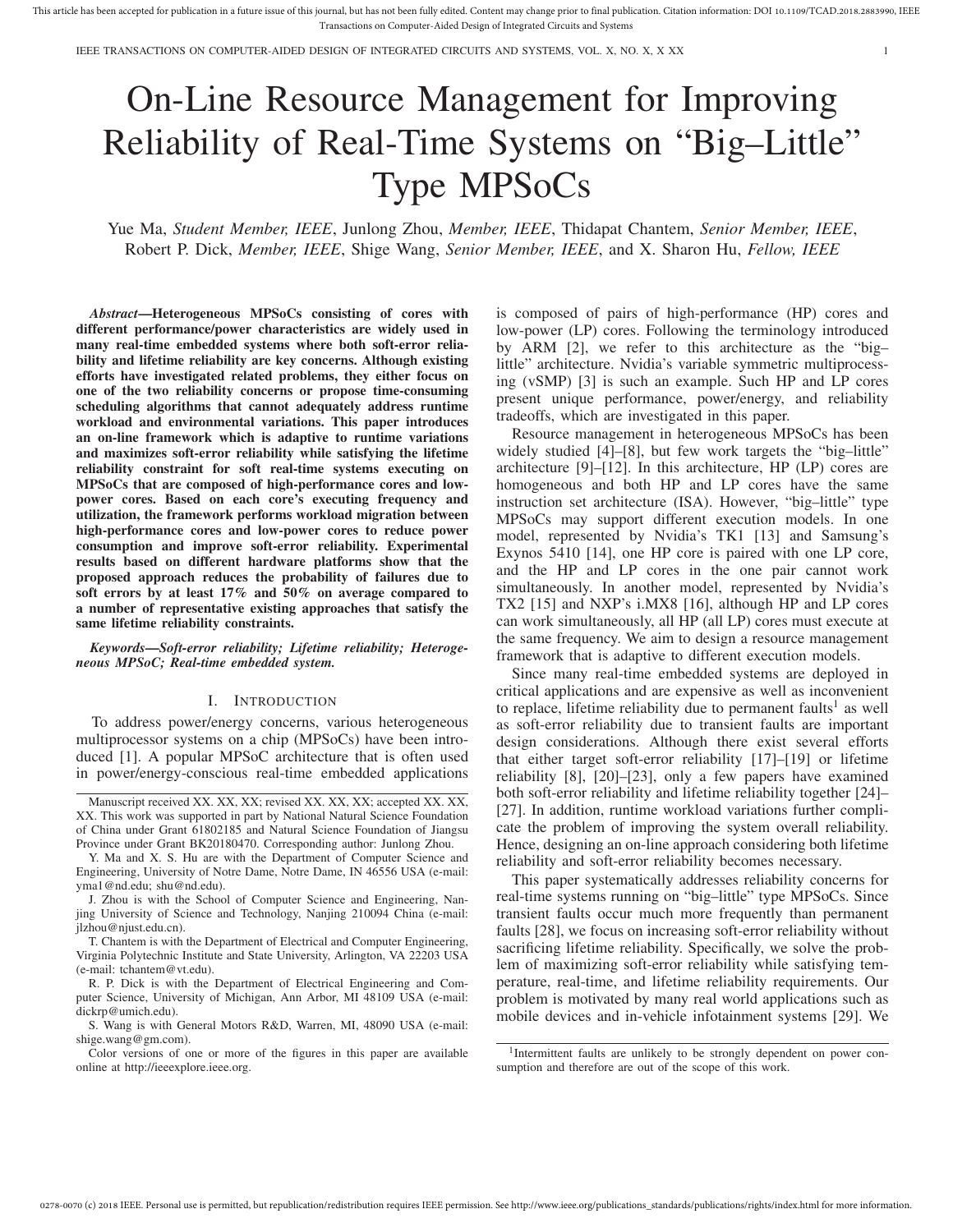IEEE TRANSACTIONS ON COMPUTER-AIDED DESIGN OF INTEGRATED CIRCUITS AND SYSTEMS, VOL. X, NO. X, X XX 1

# On-Line Resource Management for Improving Reliability of Real-Time Systems on "Big–Little" Type MPSoCs

Yue Ma, *Student Member, IEEE*, Junlong Zhou, *Member, IEEE*, Thidapat Chantem, *Senior Member, IEEE*, Robert P. Dick, *Member, IEEE*, Shige Wang, *Senior Member, IEEE*, and X. Sharon Hu, *Fellow, IEEE*

*Abstract*—Heterogeneous MPSoCs consisting of cores with different performance/power characteristics are widely used in many real-time embedded systems where both soft-error reliability and lifetime reliability are key concerns. Although existing efforts have investigated related problems, they either focus on one of the two reliability concerns or propose time-consuming scheduling algorithms that cannot adequately address runtime workload and environmental variations. This paper introduces an on-line framework which is adaptive to runtime variations and maximizes soft-error reliability while satisfying the lifetime reliability constraint for soft real-time systems executing on MPSoCs that are composed of high-performance cores and lowpower cores. Based on each core's executing frequency and utilization, the framework performs workload migration between high-performance cores and low-power cores to reduce power consumption and improve soft-error reliability. Experimental results based on different hardware platforms show that the proposed approach reduces the probability of failures due to soft errors by at least 17% and 50% on average compared to a number of representative existing approaches that satisfy the same lifetime reliability constraints.

## *Keywords*—*Soft-error reliability; Lifetime reliability; Heterogeneous MPSoC; Real-time embedded system.*

#### I. INTRODUCTION

To address power/energy concerns, various heterogeneous multiprocessor systems on a chip (MPSoCs) have been introduced [1]. A popular MPSoC architecture that is often used in power/energy-conscious real-time embedded applications

- Y. Ma and X. S. Hu are with the Department of Computer Science and Engineering, University of Notre Dame, Notre Dame, IN 46556 USA (e-mail: yma1@nd.edu; shu@nd.edu).
- J. Zhou is with the School of Computer Science and Engineering, Nanjing University of Science and Technology, Nanjing 210094 China (e-mail: jlzhou@njust.edu.cn).

T. Chantem is with the Department of Electrical and Computer Engineering, Virginia Polytechnic Institute and State University, Arlington, VA 22203 USA (e-mail: tchantem@vt.edu).

- R. P. Dick is with the Department of Electrical Engineering and Computer Science, University of Michigan, Ann Arbor, MI 48109 USA (e-mail: dickrp@umich.edu).
- S. Wang is with General Motors R&D, Warren, MI, 48090 USA (e-mail: shige.wang@gm.com).

Color versions of one or more of the figures in this paper are available online at http://ieeexplore.ieee.org.

is composed of pairs of high-performance (HP) cores and low-power (LP) cores. Following the terminology introduced by ARM [2], we refer to this architecture as the "big– little" architecture. Nvidia's variable symmetric multiprocessing (vSMP) [3] is such an example. Such HP and LP cores present unique performance, power/energy, and reliability tradeoffs, which are investigated in this paper.

Resource management in heterogeneous MPSoCs has been widely studied [4]–[8], but few work targets the "big–little" architecture [9]–[12]. In this architecture, HP (LP) cores are homogeneous and both HP and LP cores have the same instruction set architecture (ISA). However, "big–little" type MPSoCs may support different execution models. In one model, represented by Nvidia's TK1 [13] and Samsung's Exynos 5410 [14], one HP core is paired with one LP core, and the HP and LP cores in the one pair cannot work simultaneously. In another model, represented by Nvidia's TX2 [15] and NXP's i.MX8 [16], although HP and LP cores can work simultaneously, all HP (all LP) cores must execute at the same frequency. We aim to design a resource management framework that is adaptive to different execution models.

Since many real-time embedded systems are deployed in critical applications and are expensive as well as inconvenient to replace, lifetime reliability due to permanent faults<sup>1</sup> as well as soft-error reliability due to transient faults are important design considerations. Although there exist several efforts that either target soft-error reliability [17]–[19] or lifetime reliability [8], [20]–[23], only a few papers have examined both soft-error reliability and lifetime reliability together [24]– [27]. In addition, runtime workload variations further complicate the problem of improving the system overall reliability. Hence, designing an on-line approach considering both lifetime reliability and soft-error reliability becomes necessary.

This paper systematically addresses reliability concerns for real-time systems running on "big–little" type MPSoCs. Since transient faults occur much more frequently than permanent faults [28], we focus on increasing soft-error reliability without sacrificing lifetime reliability. Specifically, we solve the problem of maximizing soft-error reliability while satisfying temperature, real-time, and lifetime reliability requirements. Our problem is motivated by many real world applications such as mobile devices and in-vehicle infotainment systems [29]. We

Manuscript received XX. XX, XX; revised XX. XX, XX; accepted XX. XX, XX. This work was supported in part by National Natural Science Foundation of China under Grant 61802185 and Natural Science Foundation of Jiangsu Province under Grant BK20180470. Corresponding author: Junlong Zhou.

<sup>&</sup>lt;sup>1</sup>Intermittent faults are unlikely to be strongly dependent on power consumption and therefore are out of the scope of this work.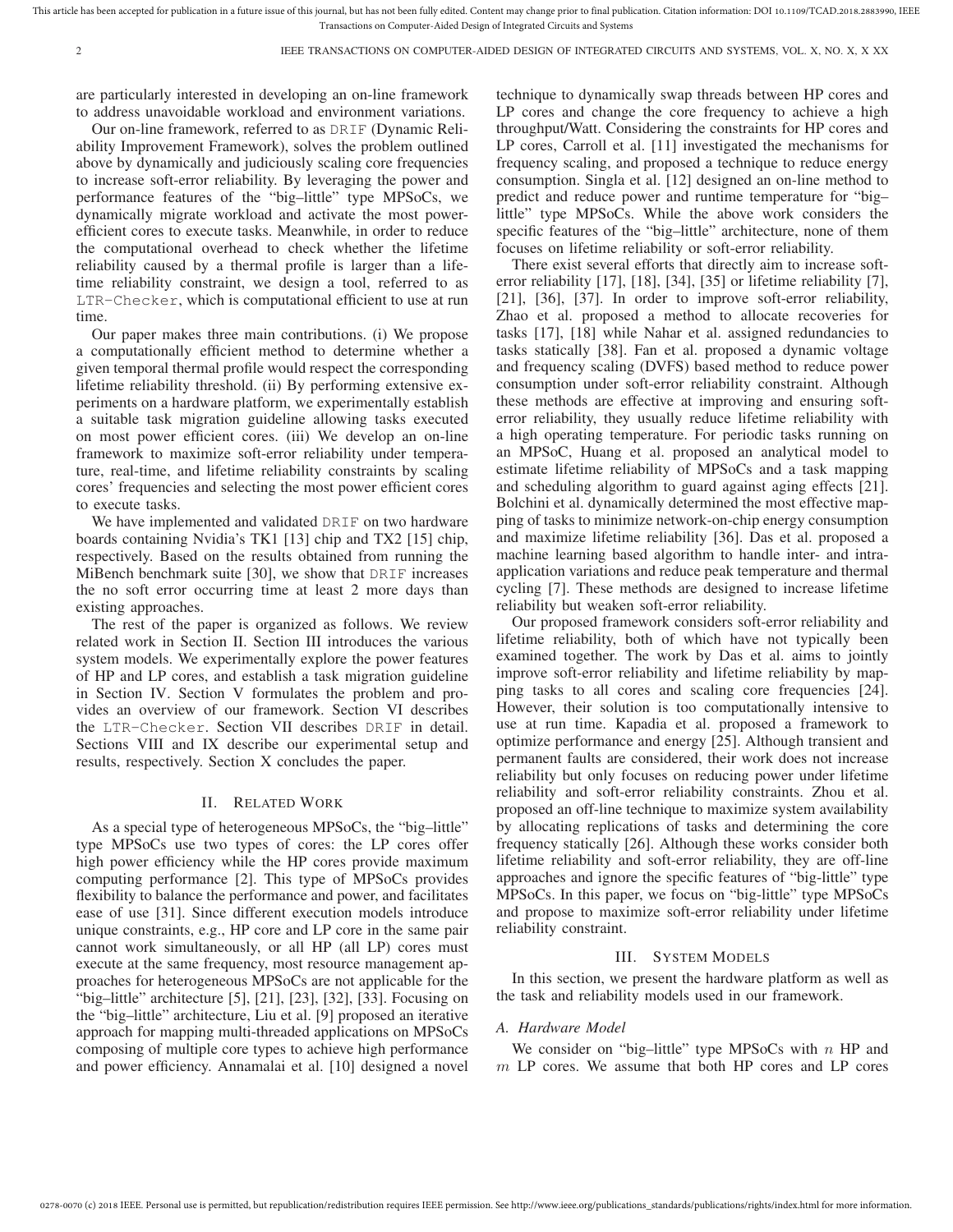are particularly interested in developing an on-line framework to address unavoidable workload and environment variations.

Our on-line framework, referred to as DRIF (Dynamic Reliability Improvement Framework), solves the problem outlined above by dynamically and judiciously scaling core frequencies to increase soft-error reliability. By leveraging the power and performance features of the "big–little" type MPSoCs, we dynamically migrate workload and activate the most powerefficient cores to execute tasks. Meanwhile, in order to reduce the computational overhead to check whether the lifetime reliability caused by a thermal profile is larger than a lifetime reliability constraint, we design a tool, referred to as LTR-Checker, which is computational efficient to use at run time.

Our paper makes three main contributions. (i) We propose a computationally efficient method to determine whether a given temporal thermal profile would respect the corresponding lifetime reliability threshold. (ii) By performing extensive experiments on a hardware platform, we experimentally establish a suitable task migration guideline allowing tasks executed on most power efficient cores. (iii) We develop an on-line framework to maximize soft-error reliability under temperature, real-time, and lifetime reliability constraints by scaling cores' frequencies and selecting the most power efficient cores to execute tasks.

We have implemented and validated DRIF on two hardware boards containing Nvidia's TK1 [13] chip and TX2 [15] chip, respectively. Based on the results obtained from running the MiBench benchmark suite [30], we show that DRIF increases the no soft error occurring time at least 2 more days than existing approaches.

The rest of the paper is organized as follows. We review related work in Section II. Section III introduces the various system models. We experimentally explore the power features of HP and LP cores, and establish a task migration guideline in Section IV. Section V formulates the problem and provides an overview of our framework. Section VI describes the LTR-Checker. Section VII describes DRIF in detail. Sections VIII and IX describe our experimental setup and results, respectively. Section X concludes the paper.

## II. RELATED WORK

As a special type of heterogeneous MPSoCs, the "big–little" type MPSoCs use two types of cores: the LP cores offer high power efficiency while the HP cores provide maximum computing performance [2]. This type of MPSoCs provides flexibility to balance the performance and power, and facilitates ease of use [31]. Since different execution models introduce unique constraints, e.g., HP core and LP core in the same pair cannot work simultaneously, or all HP (all LP) cores must execute at the same frequency, most resource management approaches for heterogeneous MPSoCs are not applicable for the "big–little" architecture [5], [21], [23], [32], [33]. Focusing on the "big–little" architecture, Liu et al. [9] proposed an iterative approach for mapping multi-threaded applications on MPSoCs composing of multiple core types to achieve high performance and power efficiency. Annamalai et al. [10] designed a novel technique to dynamically swap threads between HP cores and LP cores and change the core frequency to achieve a high throughput/Watt. Considering the constraints for HP cores and LP cores, Carroll et al. [11] investigated the mechanisms for frequency scaling, and proposed a technique to reduce energy consumption. Singla et al. [12] designed an on-line method to predict and reduce power and runtime temperature for "big– little" type MPSoCs. While the above work considers the specific features of the "big–little" architecture, none of them focuses on lifetime reliability or soft-error reliability.

There exist several efforts that directly aim to increase softerror reliability [17], [18], [34], [35] or lifetime reliability [7], [21], [36], [37]. In order to improve soft-error reliability, Zhao et al. proposed a method to allocate recoveries for tasks [17], [18] while Nahar et al. assigned redundancies to tasks statically [38]. Fan et al. proposed a dynamic voltage and frequency scaling (DVFS) based method to reduce power consumption under soft-error reliability constraint. Although these methods are effective at improving and ensuring softerror reliability, they usually reduce lifetime reliability with a high operating temperature. For periodic tasks running on an MPSoC, Huang et al. proposed an analytical model to estimate lifetime reliability of MPSoCs and a task mapping and scheduling algorithm to guard against aging effects [21]. Bolchini et al. dynamically determined the most effective mapping of tasks to minimize network-on-chip energy consumption and maximize lifetime reliability [36]. Das et al. proposed a machine learning based algorithm to handle inter- and intraapplication variations and reduce peak temperature and thermal cycling [7]. These methods are designed to increase lifetime reliability but weaken soft-error reliability.

Our proposed framework considers soft-error reliability and lifetime reliability, both of which have not typically been examined together. The work by Das et al. aims to jointly improve soft-error reliability and lifetime reliability by mapping tasks to all cores and scaling core frequencies [24]. However, their solution is too computationally intensive to use at run time. Kapadia et al. proposed a framework to optimize performance and energy [25]. Although transient and permanent faults are considered, their work does not increase reliability but only focuses on reducing power under lifetime reliability and soft-error reliability constraints. Zhou et al. proposed an off-line technique to maximize system availability by allocating replications of tasks and determining the core frequency statically [26]. Although these works consider both lifetime reliability and soft-error reliability, they are off-line approaches and ignore the specific features of "big-little" type MPSoCs. In this paper, we focus on "big-little" type MPSoCs and propose to maximize soft-error reliability under lifetime reliability constraint.

# III. SYSTEM MODELS

In this section, we present the hardware platform as well as the task and reliability models used in our framework.

## *A. Hardware Model*

We consider on "big-little" type MPSoCs with  $n$  HP and m LP cores. We assume that both HP cores and LP cores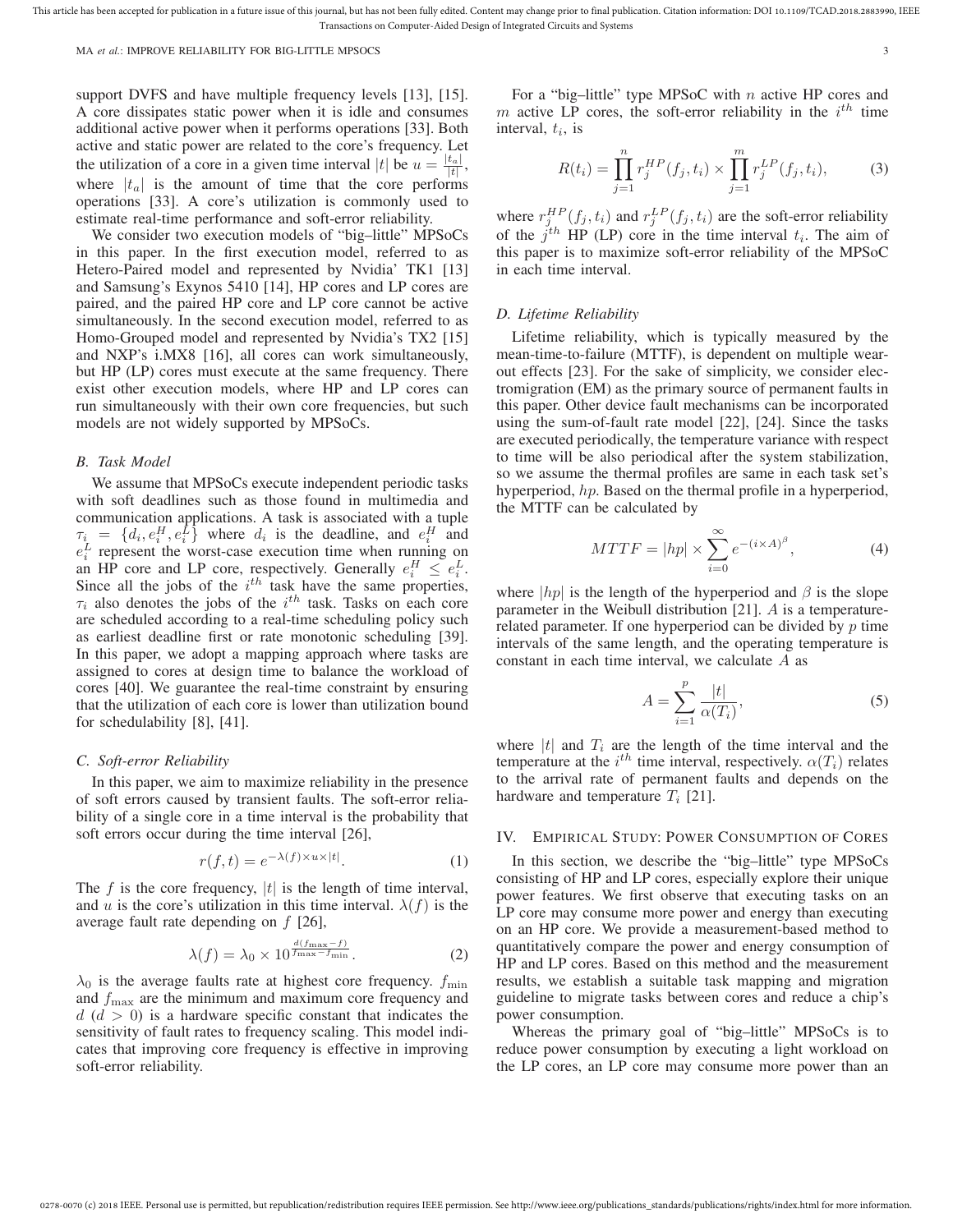support DVFS and have multiple frequency levels [13], [15]. A core dissipates static power when it is idle and consumes additional active power when it performs operations [33]. Both active and static power are related to the core's frequency. Let the utilization of a core in a given time interval |t| be  $u = \frac{|t_a|}{|t|}$ , where  $|t_a|$  is the amount of time that the core performs operations [33]. A core's utilization is commonly used to estimate real-time performance and soft-error reliability.

We consider two execution models of "big–little" MPSoCs in this paper. In the first execution model, referred to as Hetero-Paired model and represented by Nvidia' TK1 [13] and Samsung's Exynos 5410 [14], HP cores and LP cores are paired, and the paired HP core and LP core cannot be active simultaneously. In the second execution model, referred to as Homo-Grouped model and represented by Nvidia's TX2 [15] and NXP's i.MX8 [16], all cores can work simultaneously, but HP (LP) cores must execute at the same frequency. There exist other execution models, where HP and LP cores can run simultaneously with their own core frequencies, but such models are not widely supported by MPSoCs.

## *B. Task Model*

We assume that MPSoCs execute independent periodic tasks with soft deadlines such as those found in multimedia and communication applications. A task is associated with a tuple  $\tau_i = \{d_i, e_i^H, e_i^L\}$  where  $d_i$  is the deadline, and  $e_i^H$  and  $e_i^L$  represent the worst-case execution time when running on an HP core and LP core, respectively. Generally  $e_i^H \le e_i^L$ . Since all the jobs of the  $i<sup>th</sup>$  task have the same properties,  $\tau_i$  also denotes the jobs of the  $i^{th}$  task. Tasks on each core are scheduled according to a real-time scheduling policy such as earliest deadline first or rate monotonic scheduling [39]. In this paper, we adopt a mapping approach where tasks are assigned to cores at design time to balance the workload of cores [40]. We guarantee the real-time constraint by ensuring that the utilization of each core is lower than utilization bound for schedulability [8], [41].

## *C. Soft-error Reliability*

In this paper, we aim to maximize reliability in the presence of soft errors caused by transient faults. The soft-error reliability of a single core in a time interval is the probability that soft errors occur during the time interval [26],

$$
r(f,t) = e^{-\lambda(f) \times u \times |t|}.
$$
 (1)

The  $f$  is the core frequency,  $|t|$  is the length of time interval, and u is the core's utilization in this time interval.  $\lambda(f)$  is the average fault rate depending on  $f$  [26],

$$
\lambda(f) = \lambda_0 \times 10^{\frac{d(f_{\text{max}} - f)}{f_{\text{max}} - f_{\text{min}}}}.
$$
\n(2)

 $\lambda_0$  is the average faults rate at highest core frequency.  $f_{\text{min}}$ and  $f_{\text{max}}$  are the minimum and maximum core frequency and  $d$  ( $d > 0$ ) is a hardware specific constant that indicates the sensitivity of fault rates to frequency scaling. This model indicates that improving core frequency is effective in improving soft-error reliability.

For a "big-little" type MPSoC with  $n$  active HP cores and m active LP cores, the soft-error reliability in the  $i^{th}$  time interval,  $t_i$ , is

$$
R(t_i) = \prod_{j=1}^{n} r_j^{HP}(f_j, t_i) \times \prod_{j=1}^{m} r_j^{LP}(f_j, t_i),
$$
 (3)

where  $r_j^{HP}(f_j, t_i)$  and  $r_j^{LP}(f_j, t_i)$  are the soft-error reliability of the  $j<sup>th</sup>$  HP (LP) core in the time interval  $t<sub>i</sub>$ . The aim of this paper is to maximize soft-error reliability of the MPSoC in each time interval.

#### *D. Lifetime Reliability*

Lifetime reliability, which is typically measured by the mean-time-to-failure (MTTF), is dependent on multiple wearout effects [23]. For the sake of simplicity, we consider electromigration (EM) as the primary source of permanent faults in this paper. Other device fault mechanisms can be incorporated using the sum-of-fault rate model [22], [24]. Since the tasks are executed periodically, the temperature variance with respect to time will be also periodical after the system stabilization, so we assume the thermal profiles are same in each task set's hyperperiod, hp. Based on the thermal profile in a hyperperiod, the MTTF can be calculated by

$$
MTTF = |hp| \times \sum_{i=0}^{\infty} e^{-(i \times A)^{\beta}}, \tag{4}
$$

where  $|hp|$  is the length of the hyperperiod and  $\beta$  is the slope parameter in the Weibull distribution [21]. A is a temperaturerelated parameter. If one hyperperiod can be divided by p time intervals of the same length, and the operating temperature is constant in each time interval, we calculate A as

$$
A = \sum_{i=1}^{p} \frac{|t|}{\alpha(T_i)},
$$
\n<sup>(5)</sup>

where  $|t|$  and  $T_i$  are the length of the time interval and the temperature at the  $i^{th}$  time interval, respectively.  $\alpha(T_i)$  relates to the arrival rate of permanent faults and depends on the hardware and temperature  $T_i$  [21].

## IV. EMPIRICAL STUDY: POWER CONSUMPTION OF CORES

In this section, we describe the "big–little" type MPSoCs consisting of HP and LP cores, especially explore their unique power features. We first observe that executing tasks on an LP core may consume more power and energy than executing on an HP core. We provide a measurement-based method to quantitatively compare the power and energy consumption of HP and LP cores. Based on this method and the measurement results, we establish a suitable task mapping and migration guideline to migrate tasks between cores and reduce a chip's power consumption.

Whereas the primary goal of "big–little" MPSoCs is to reduce power consumption by executing a light workload on the LP cores, an LP core may consume more power than an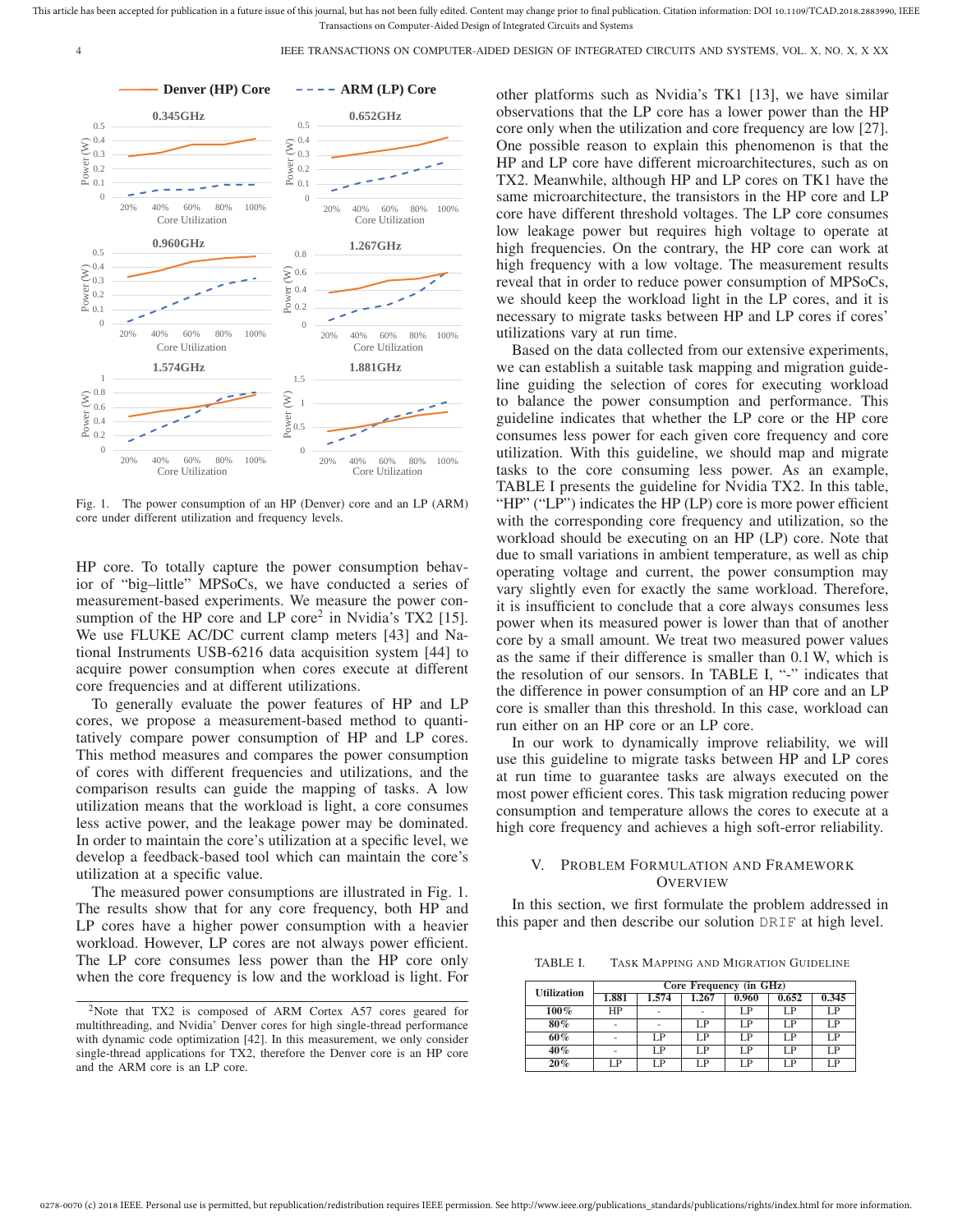4 IEEE TRANSACTIONS ON COMPUTER-AIDED DESIGN OF INTEGRATED CIRCUITS AND SYSTEMS, VOL. X, NO. X, X XX



Fig. 1. The power consumption of an HP (Denver) core and an LP (ARM) core under different utilization and frequency levels.

HP core. To totally capture the power consumption behavior of "big–little" MPSoCs, we have conducted a series of measurement-based experiments. We measure the power consumption of the HP core and LP core<sup>2</sup> in Nvidia's TX2 [15]. We use FLUKE AC/DC current clamp meters [43] and National Instruments USB-6216 data acquisition system [44] to acquire power consumption when cores execute at different core frequencies and at different utilizations.

To generally evaluate the power features of HP and LP cores, we propose a measurement-based method to quantitatively compare power consumption of HP and LP cores. This method measures and compares the power consumption of cores with different frequencies and utilizations, and the comparison results can guide the mapping of tasks. A low utilization means that the workload is light, a core consumes less active power, and the leakage power may be dominated. In order to maintain the core's utilization at a specific level, we develop a feedback-based tool which can maintain the core's utilization at a specific value.

The measured power consumptions are illustrated in Fig. 1. The results show that for any core frequency, both HP and LP cores have a higher power consumption with a heavier workload. However, LP cores are not always power efficient. The LP core consumes less power than the HP core only when the core frequency is low and the workload is light. For

other platforms such as Nvidia's TK1 [13], we have similar observations that the LP core has a lower power than the HP core only when the utilization and core frequency are low [27]. One possible reason to explain this phenomenon is that the HP and LP core have different microarchitectures, such as on TX2. Meanwhile, although HP and LP cores on TK1 have the same microarchitecture, the transistors in the HP core and LP core have different threshold voltages. The LP core consumes low leakage power but requires high voltage to operate at high frequencies. On the contrary, the HP core can work at high frequency with a low voltage. The measurement results reveal that in order to reduce power consumption of MPSoCs, we should keep the workload light in the LP cores, and it is necessary to migrate tasks between HP and LP cores if cores' utilizations vary at run time.

Based on the data collected from our extensive experiments, we can establish a suitable task mapping and migration guideline guiding the selection of cores for executing workload to balance the power consumption and performance. This guideline indicates that whether the LP core or the HP core consumes less power for each given core frequency and core utilization. With this guideline, we should map and migrate tasks to the core consuming less power. As an example, TABLE I presents the guideline for Nvidia TX2. In this table, "HP" ("LP") indicates the HP (LP) core is more power efficient with the corresponding core frequency and utilization, so the workload should be executing on an HP (LP) core. Note that due to small variations in ambient temperature, as well as chip operating voltage and current, the power consumption may vary slightly even for exactly the same workload. Therefore, it is insufficient to conclude that a core always consumes less power when its measured power is lower than that of another core by a small amount. We treat two measured power values as the same if their difference is smaller than 0.1 W, which is the resolution of our sensors. In TABLE I, "-" indicates that the difference in power consumption of an HP core and an LP core is smaller than this threshold. In this case, workload can run either on an HP core or an LP core.

In our work to dynamically improve reliability, we will use this guideline to migrate tasks between HP and LP cores at run time to guarantee tasks are always executed on the most power efficient cores. This task migration reducing power consumption and temperature allows the cores to execute at a high core frequency and achieves a high soft-error reliability.

## V. PROBLEM FORMULATION AND FRAMEWORK **OVERVIEW**

In this section, we first formulate the problem addressed in this paper and then describe our solution DRIF at high level.

TABLE I. TASK MAPPING AND MIGRATION GUIDELINE

| <b>Utilization</b> | Core Frequency (in GHz) |       |       |       |       |       |
|--------------------|-------------------------|-------|-------|-------|-------|-------|
|                    | 1.881                   | 1.574 | 1.267 | 0.960 | 0.652 | 0.345 |
| $100\%$            | HP                      | ٠     | ۰     | LP    | LP    | LP    |
| $80\%$             | ۰                       | ۰     | LP    | LP    | LP    | LP    |
| 60%                | ۰                       | LP    | LP    | LP    | LP    | LP    |
| 40%                | ۰                       | LP    | LP    | LP    | LP    | LP    |
| 20%                | LP                      | LP    | LP    | LP    | LP    | LP    |

<sup>&</sup>lt;sup>2</sup>Note that TX2 is composed of ARM Cortex A57 cores geared for multithreading, and Nvidia' Denver cores for high single-thread performance with dynamic code optimization [42]. In this measurement, we only consider single-thread applications for TX2, therefore the Denver core is an HP core and the ARM core is an LP core.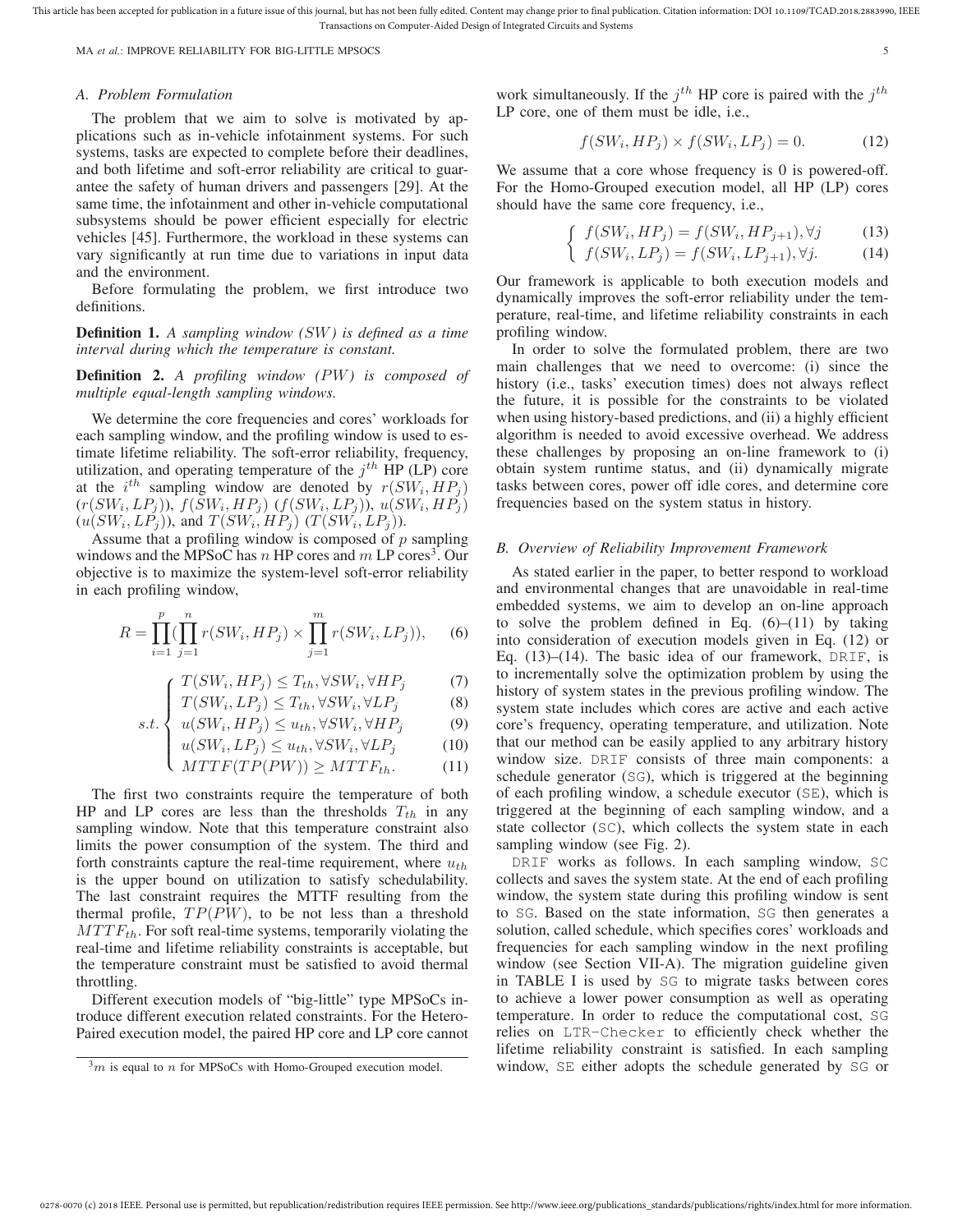MA *et al.*: IMPROVE RELIABILITY FOR BIG-LITTLE MPSOCS 5

## *A. Problem Formulation*

The problem that we aim to solve is motivated by applications such as in-vehicle infotainment systems. For such systems, tasks are expected to complete before their deadlines, and both lifetime and soft-error reliability are critical to guarantee the safety of human drivers and passengers [29]. At the same time, the infotainment and other in-vehicle computational subsystems should be power efficient especially for electric vehicles [45]. Furthermore, the workload in these systems can vary significantly at run time due to variations in input data and the environment.

Before formulating the problem, we first introduce two definitions.

Definition 1. *A sampling window (*SW*) is defined as a time interval during which the temperature is constant.*

Definition 2. *A profiling window (*PW*) is composed of multiple equal-length sampling windows.*

We determine the core frequencies and cores' workloads for each sampling window, and the profiling window is used to estimate lifetime reliability. The soft-error reliability, frequency, utilization, and operating temperature of the  $j<sup>th</sup>$  HP (LP) core at the  $i^{th}$  sampling window are denoted by  $r(SW_i, HP_j)$  $(r(SW_i, LP_i))$ ,  $f(SW_i, HP_j)$   $(f(SW_i, LP_j))$ ,  $u(SW_i, HP_j)$  $(u(SW_i, LP_j))$ , and  $T(SW_i, HP_j)$   $(T(SW_i, LP_j))$ .

Assume that a profiling window is composed of  $p$  sampling windows and the MPSoC has  $n$  HP cores and  $m$  LP cores<sup>3</sup>. Our objective is to maximize the system-level soft-error reliability in each profiling window,

$$
R = \prod_{i=1}^{p} \left( \prod_{j=1}^{n} r(SW_i, HP_j) \times \prod_{j=1}^{m} r(SW_i, LP_j) \right), \quad (6)
$$

$$
\int T(SW_i, HP_j) \le T_{th}, \forall SW_i, \forall HP_j \tag{7}
$$

$$
T(SW_i, LP_j) \leq T_{th}, \forall SW_i, \forall LP_j
$$
\n
$$
T(SW_i, HP_i) \leq T_{th}, \forall SW_i, \forall HP_i
$$
\n(8)

$$
s.t. \left\{ u(SW_i, HP_j) \le u_{th}, \forall SW_i, \forall HP_j \right\} \tag{9}
$$

$$
\begin{cases} u(SW_i, LP_j) \le u_{th}, \forall SW_i, \forall LP_j \\ MTTF(TP(PW)) > MTTF_{th}. \end{cases} \tag{10}
$$

$$
(11)
$$
  $MTTF(TP(PW)) \geq MTTF_{th}.$ 

The first two constraints require the temperature of both HP and LP cores are less than the thresholds  $T_{th}$  in any sampling window. Note that this temperature constraint also limits the power consumption of the system. The third and forth constraints capture the real-time requirement, where  $u_{th}$ is the upper bound on utilization to satisfy schedulability. The last constraint requires the MTTF resulting from the thermal profile,  $TP(PW)$ , to be not less than a threshold  $MTTF_{th}$ . For soft real-time systems, temporarily violating the real-time and lifetime reliability constraints is acceptable, but the temperature constraint must be satisfied to avoid thermal throttling.

Different execution models of "big-little" type MPSoCs introduce different execution related constraints. For the Hetero-Paired execution model, the paired HP core and LP core cannot work simultaneously. If the  $j<sup>th</sup>$  HP core is paired with the  $j<sup>th</sup>$ LP core, one of them must be idle, i.e.,

$$
f(SW_i, HP_j) \times f(SW_i, LP_j) = 0.
$$
 (12)

We assume that a core whose frequency is 0 is powered-off. For the Homo-Grouped execution model, all HP (LP) cores should have the same core frequency, i.e.,

$$
\int f(SW_i, HP_j) = f(SW_i, HP_{j+1}), \forall j \tag{13}
$$

$$
f(SW_i, LP_j) = f(SW_i, LP_{j+1}), \forall j. \tag{14}
$$

Our framework is applicable to both execution models and dynamically improves the soft-error reliability under the temperature, real-time, and lifetime reliability constraints in each profiling window.

In order to solve the formulated problem, there are two main challenges that we need to overcome: (i) since the history (i.e., tasks' execution times) does not always reflect the future, it is possible for the constraints to be violated when using history-based predictions, and (ii) a highly efficient algorithm is needed to avoid excessive overhead. We address these challenges by proposing an on-line framework to (i) obtain system runtime status, and (ii) dynamically migrate tasks between cores, power off idle cores, and determine core frequencies based on the system status in history.

## *B. Overview of Reliability Improvement Framework*

As stated earlier in the paper, to better respond to workload and environmental changes that are unavoidable in real-time embedded systems, we aim to develop an on-line approach to solve the problem defined in Eq.  $(6)$ – $(11)$  by taking into consideration of execution models given in Eq. (12) or Eq. (13)–(14). The basic idea of our framework, DRIF, is to incrementally solve the optimization problem by using the history of system states in the previous profiling window. The system state includes which cores are active and each active core's frequency, operating temperature, and utilization. Note that our method can be easily applied to any arbitrary history window size. DRIF consists of three main components: a schedule generator (SG), which is triggered at the beginning of each profiling window, a schedule executor (SE), which is triggered at the beginning of each sampling window, and a state collector (SC), which collects the system state in each sampling window (see Fig. 2).

DRIF works as follows. In each sampling window, SC collects and saves the system state. At the end of each profiling window, the system state during this profiling window is sent to SG. Based on the state information, SG then generates a solution, called schedule, which specifies cores' workloads and frequencies for each sampling window in the next profiling window (see Section VII-A). The migration guideline given in TABLE I is used by SG to migrate tasks between cores to achieve a lower power consumption as well as operating temperature. In order to reduce the computational cost, SG relies on LTR-Checker to efficiently check whether the lifetime reliability constraint is satisfied. In each sampling window, SE either adopts the schedule generated by SG or

 $3m$  is equal to n for MPSoCs with Homo-Grouped execution model.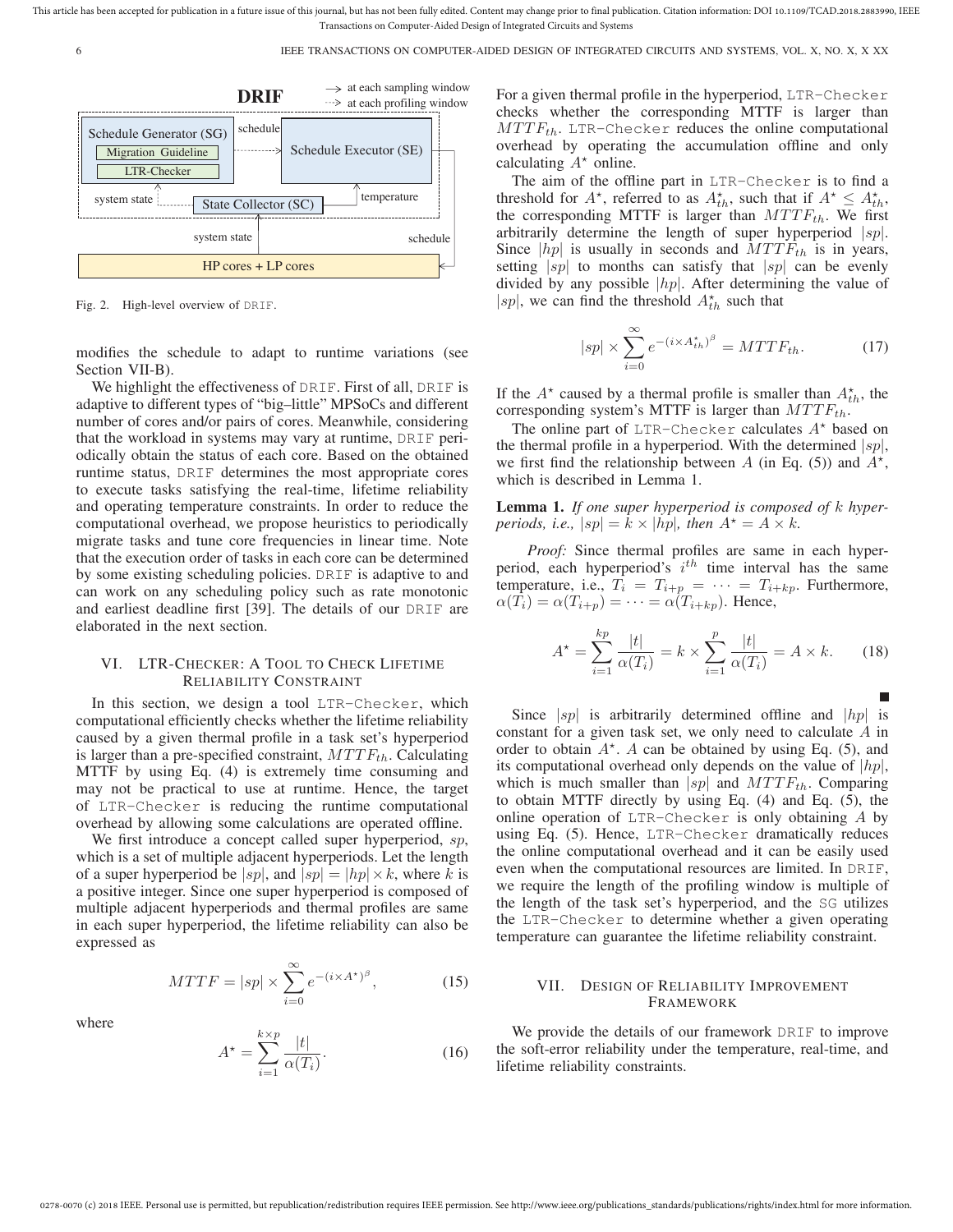6 IEEE TRANSACTIONS ON COMPUTER-AIDED DESIGN OF INTEGRATED CIRCUITS AND SYSTEMS, VOL. X, NO. X, X XX



Fig. 2. High-level overview of DRIF.

modifies the schedule to adapt to runtime variations (see Section VII-B).

We highlight the effectiveness of DRIF. First of all, DRIF is adaptive to different types of "big–little" MPSoCs and different number of cores and/or pairs of cores. Meanwhile, considering that the workload in systems may vary at runtime, DRIF periodically obtain the status of each core. Based on the obtained runtime status, DRIF determines the most appropriate cores to execute tasks satisfying the real-time, lifetime reliability and operating temperature constraints. In order to reduce the computational overhead, we propose heuristics to periodically migrate tasks and tune core frequencies in linear time. Note that the execution order of tasks in each core can be determined by some existing scheduling policies. DRIF is adaptive to and can work on any scheduling policy such as rate monotonic and earliest deadline first [39]. The details of our DRIF are elaborated in the next section.

## VI. LTR-CHECKER:ATOOL TO CHECK LIFETIME RELIABILITY CONSTRAINT

In this section, we design a tool LTR-Checker, which computational efficiently checks whether the lifetime reliability caused by a given thermal profile in a task set's hyperperiod is larger than a pre-specified constraint,  $MTTF_{th}$ . Calculating MTTF by using Eq. (4) is extremely time consuming and may not be practical to use at runtime. Hence, the target of LTR-Checker is reducing the runtime computational overhead by allowing some calculations are operated offline.

We first introduce a concept called super hyperperiod, sp, which is a set of multiple adjacent hyperperiods. Let the length of a super hyperperiod be  $|sp|$ , and  $|sp| = |hp| \times k$ , where k is a positive integer. Since one super hyperperiod is composed of multiple adjacent hyperperiods and thermal profiles are same in each super hyperperiod, the lifetime reliability can also be expressed as

$$
MTTF = |sp| \times \sum_{i=0}^{\infty} e^{-(i \times A^*)^{\beta}}, \tag{15}
$$

where

$$
A^* = \sum_{i=1}^{k \times p} \frac{|t|}{\alpha(T_i)}.
$$
 (16)

For a given thermal profile in the hyperperiod, LTR-Checker checks whether the corresponding MTTF is larger than  $MTTF_{th}$ . LTR-Checker reduces the online computational overhead by operating the accumulation offline and only calculating  $A^*$  online.

The aim of the offline part in LTR-Checker is to find a threshold for  $A^*$ , referred to as  $A_{th}^*$ , such that if  $A^* \leq A_{th}^*$ , the corresponding MTTF is larger than  $MTTF_{th}$ . We first arbitrarily determine the length of super hyperperiod  $|sp|$ . Since  $\vert hp \vert$  is usually in seconds and  $MTTF_{th}$  is in years, setting  $|sp|$  to months can satisfy that  $|sp|$  can be evenly divided by any possible  $|h p|$ . After determining the value of |sp|, we can find the threshold  $A_{th}^{\star}$  such that

$$
|sp| \times \sum_{i=0}^{\infty} e^{-(i \times A_{th}^*)^{\beta}} = MTTF_{th}.
$$
 (17)

If the  $A^*$  caused by a thermal profile is smaller than  $A_{th}^*$ , the corresponding system's MTTF is larger than  $MTTF_{th}$ .

The online part of LTR-Checker calculates  $A^*$  based on the thermal profile in a hyperperiod. With the determined  $|sp|$ , we first find the relationship between A (in Eq. (5)) and  $A^*$ , which is described in Lemma 1.

Lemma 1. *If one super hyperperiod is composed of* k *hyperperiods, i.e.,*  $|sp| = k \times |hp|$ *, then*  $A^* = A \times k$ *.* 

*Proof:* Since thermal profiles are same in each hyperperiod, each hyperperiod's  $i^{th}$  time interval has the same temperature, i.e.,  $T_i = T_{i+p} = \cdots = T_{i+kp}$ . Furthermore,  $\alpha(T_i) = \alpha(T_{i+p}) = \cdots = \alpha(T_{i+kp})$ . Hence,

$$
A^* = \sum_{i=1}^{kp} \frac{|t|}{\alpha(T_i)} = k \times \sum_{i=1}^p \frac{|t|}{\alpha(T_i)} = A \times k. \tag{18}
$$

Since  $|sp|$  is arbitrarily determined offline and  $|hp|$  is constant for a given task set, we only need to calculate A in order to obtain  $A^*$ . A can be obtained by using Eq. (5), and its computational overhead only depends on the value of  $|h_p|$ , which is much smaller than  $|sp|$  and  $MTTF_{th}$ . Comparing to obtain MTTF directly by using Eq. (4) and Eq. (5), the online operation of LTR-Checker is only obtaining A by using Eq. (5). Hence, LTR-Checker dramatically reduces the online computational overhead and it can be easily used even when the computational resources are limited. In DRIF, we require the length of the profiling window is multiple of the length of the task set's hyperperiod, and the SG utilizes the LTR-Checker to determine whether a given operating temperature can guarantee the lifetime reliability constraint.

# VII. DESIGN OF RELIABILITY IMPROVEMENT FRAMEWORK

We provide the details of our framework DRIF to improve the soft-error reliability under the temperature, real-time, and lifetime reliability constraints.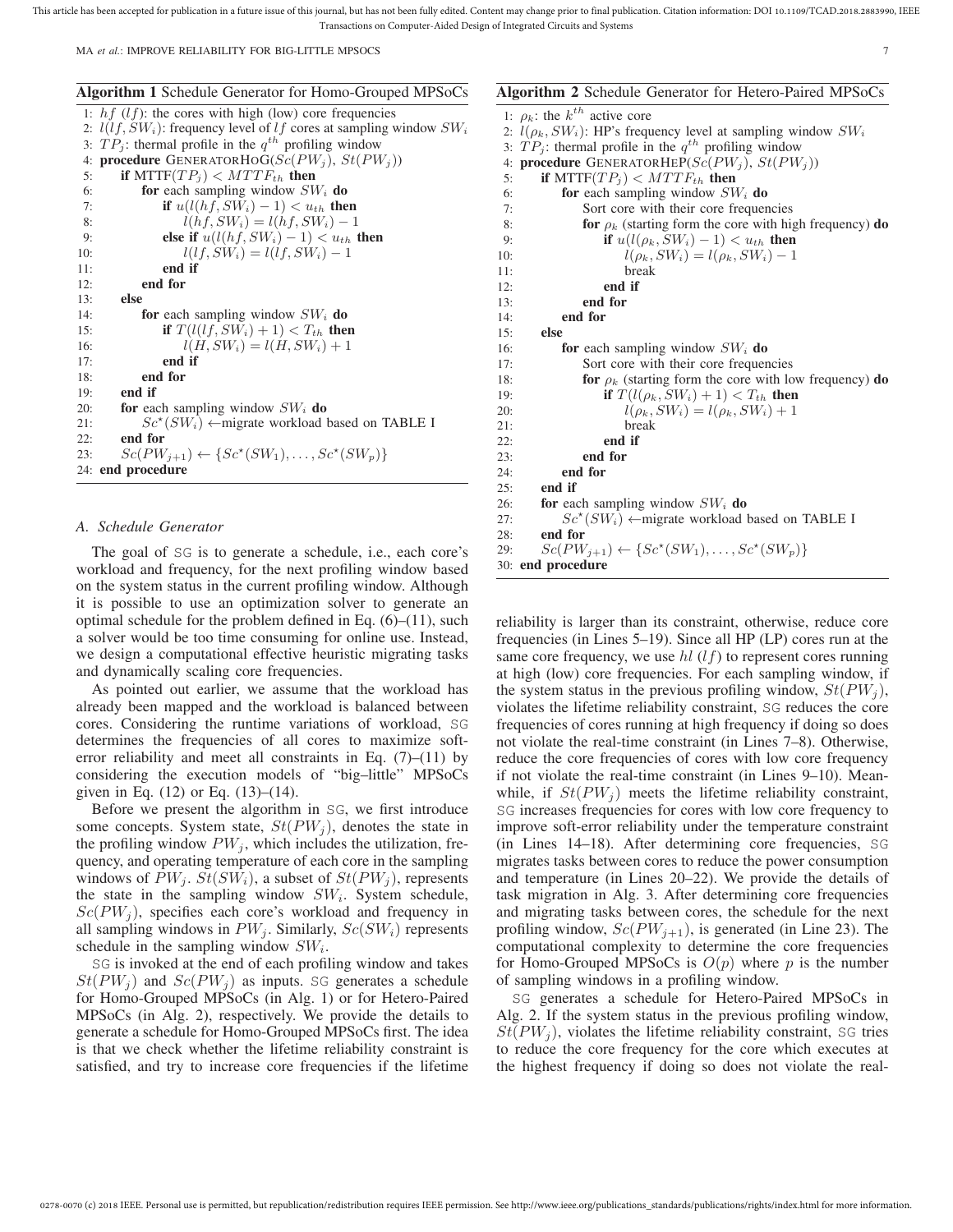MA *et al.*: IMPROVE RELIABILITY FOR BIG-LITTLE MPSOCS 7

# Algorithm 1 Schedule Generator for Homo-Grouped MPSoCs

|     | 1: $hf(lf)$ : the cores with high (low) core frequencies               |
|-----|------------------------------------------------------------------------|
|     | 2: $l(lf, SWi)$ : frequency level of lf cores at sampling window $SWi$ |
|     | 3: $TP_j$ : thermal profile in the $q^{th}$ profiling window           |
|     | 4: <b>procedure</b> GENERATORHOG( $Sc(PW_i)$ , $St(PW_i)$ )            |
| 5:  | if $MTTF(TP_i) < MTTF_{th}$ then                                       |
| 6:  | <b>for</b> each sampling window $SW_i$ <b>do</b>                       |
| 7:  | if $u(l(hf, SW_i) - 1) < u_{th}$ then                                  |
| 8:  | $l(hf, SW_i) = l(hf, SW_i) - 1$                                        |
| 9:  | else if $u(l(hf, SW_i) - 1) < u_{th}$ then                             |
| 10: | $l(l f, SW_i) = l(l f, SW_i) - 1$                                      |
| 11: | end if                                                                 |
| 12: | end for                                                                |
| 13: | else                                                                   |
| 14: | <b>for</b> each sampling window $SW_i$ <b>do</b>                       |
| 15: | if $T(l(lf, SWi) + 1) < Tth$ then                                      |
| 16: | $l(H, SW_i) = l(H, SW_i) + 1$                                          |
| 17: | end if                                                                 |
| 18: | end for                                                                |
| 19: | end if                                                                 |
| 20: | <b>for</b> each sampling window $SW_i$ <b>do</b>                       |
| 21: | $Sc^{\star}(SW_i)$ ← migrate workload based on TABLE I                 |
| 22: | end for                                                                |
| 23: | $Sc(PW_{j+1}) \leftarrow \{Sc^*(SW_1), \ldots, Sc^*(SW_p)\}$           |
|     | 24: end procedure                                                      |
|     |                                                                        |

## *A. Schedule Generator*

The goal of SG is to generate a schedule, i.e., each core's workload and frequency, for the next profiling window based on the system status in the current profiling window. Although it is possible to use an optimization solver to generate an optimal schedule for the problem defined in Eq.  $(6)$ – $(11)$ , such a solver would be too time consuming for online use. Instead, we design a computational effective heuristic migrating tasks and dynamically scaling core frequencies.

As pointed out earlier, we assume that the workload has already been mapped and the workload is balanced between cores. Considering the runtime variations of workload, SG determines the frequencies of all cores to maximize softerror reliability and meet all constraints in Eq.  $(7)$ – $(11)$  by considering the execution models of "big–little" MPSoCs given in Eq.  $(12)$  or Eq.  $(13)–(14)$ .

Before we present the algorithm in SG, we first introduce some concepts. System state,  $St(PW<sub>j</sub>)$ , denotes the state in the profiling window  $PW_i$ , which includes the utilization, frequency, and operating temperature of each core in the sampling windows of  $PW_j$ .  $St(SW_i)$ , a subset of  $St(PW_j)$ , represents the state in the sampling window  $SW_i$ . System schedule,  $Sc(PW<sub>j</sub>)$ , specifies each core's workload and frequency in all sampling windows in  $PW_j$ . Similarly,  $Sc(SW_i)$  represents schedule in the sampling window  $SW_i$ .

SG is invoked at the end of each profiling window and takes  $St(PW_i)$  and  $Sc(PW_i)$  as inputs. SG generates a schedule for Homo-Grouped MPSoCs (in Alg. 1) or for Hetero-Paired MPSoCs (in Alg. 2), respectively. We provide the details to generate a schedule for Homo-Grouped MPSoCs first. The idea is that we check whether the lifetime reliability constraint is satisfied, and try to increase core frequencies if the lifetime

## Algorithm 2 Schedule Generator for Hetero-Paired MPSoCs

1:  $\rho_k$ : the  $k^{th}$  active core 2:  $l(\rho_k, SW_i)$ : HP's frequency level at sampling window  $SW_i$ 3:  $TP_j$ : thermal profile in the  $q^{th}$  profiling window 4: procedure GENERATORHEP( $Sc(PW_j),\,St(PW_j))$ 5: if  $MTTF(TP_j) < MTTF_{th}$  then 6: **for** each sampling window  $SW_i$  **do** 7: Sort core with their core frequencies 8: **for**  $\rho_k$  (starting form the core with high frequency) **do**<br>**if**  $u(l(\rho_k, SW_k) - 1) < u_k$  **then** 9: **if**  $u(l(\rho_k, SW_i) - 1) < u_{th}$  then<br>10:  $l(\rho_k, SW_i) = l(\rho_k, SW_i) - 1$ 10:  $l(\rho_k, SW_i) = l(\rho_k, SW_i) - 1$ <br>11: break 11: break 12: end if 13: end for 14: end for 15: else 16: **for** each sampling window  $SW_i$  do 17: Sort core with their core frequencies 18: **for**  $\rho_k$  (starting form the core with low frequency) **do** 19: **if**  $T(l(\rho_k, SW_i) + 1) < T_{th}$  **then** if  $T(l(\rho_k,SW_i)+1) < T_{th}$  then 20:  $l(\rho_k, SW_i) = l(\rho_k, SW_i) + 1$ 21: break 22: end if<br>
23: end for end for 24: end for 25: end if 26: for each sampling window  $SW_i$  do 27:  $Sc^*(SW_i)$  ← migrate workload based on TABLE I 28: end for 29:  $Sc(PW_{j+1}) \leftarrow \{Sc^*(SW_1), \dots, Sc^*(SW_p)\}$ 30: end procedure

reliability is larger than its constraint, otherwise, reduce core frequencies (in Lines 5–19). Since all HP (LP) cores run at the same core frequency, we use  $hl$  ( $lf$ ) to represent cores running at high (low) core frequencies. For each sampling window, if the system status in the previous profiling window,  $St(PW<sub>j</sub>)$ , violates the lifetime reliability constraint, SG reduces the core frequencies of cores running at high frequency if doing so does not violate the real-time constraint (in Lines 7–8). Otherwise, reduce the core frequencies of cores with low core frequency if not violate the real-time constraint (in Lines 9–10). Meanwhile, if  $St(PW_i)$  meets the lifetime reliability constraint, SG increases frequencies for cores with low core frequency to improve soft-error reliability under the temperature constraint (in Lines 14–18). After determining core frequencies, SG migrates tasks between cores to reduce the power consumption and temperature (in Lines 20–22). We provide the details of task migration in Alg. 3. After determining core frequencies and migrating tasks between cores, the schedule for the next profiling window,  $Sc(PW_{j+1})$ , is generated (in Line 23). The computational complexity to determine the core frequencies for Homo-Grouped MPSoCs is  $O(p)$  where p is the number of sampling windows in a profiling window.

SG generates a schedule for Hetero-Paired MPSoCs in Alg. 2. If the system status in the previous profiling window,  $St(PW_i)$ , violates the lifetime reliability constraint, SG tries to reduce the core frequency for the core which executes at the highest frequency if doing so does not violate the real-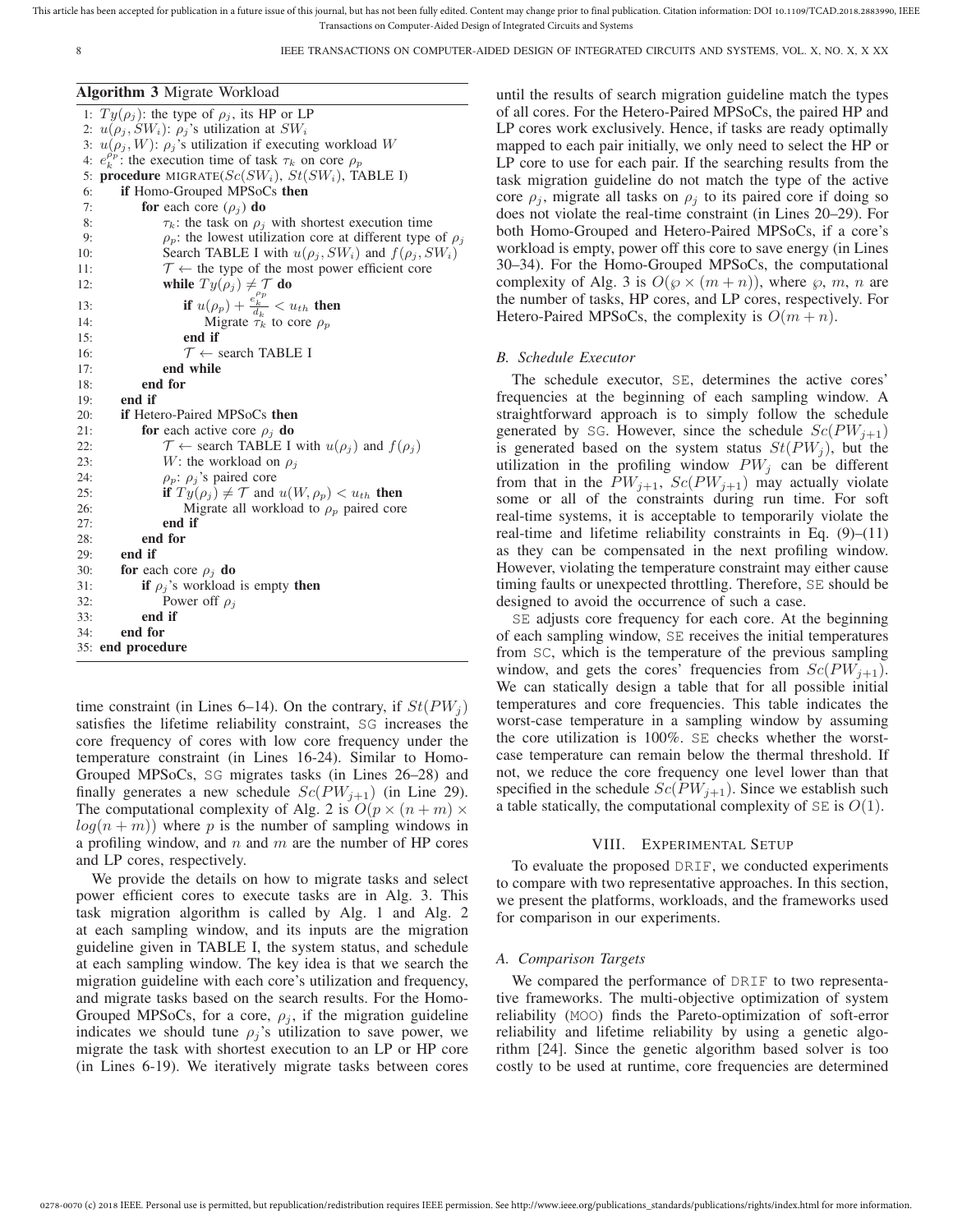8 IEEE TRANSACTIONS ON COMPUTER-AIDED DESIGN OF INTEGRATED CIRCUITS AND SYSTEMS, VOL. X, NO. X, X XX

# Algorithm 3 Migrate Workload

|     | $\mu$ <sub>1</sub> $\mu$ <sub>1</sub> $\mu$ <sub>1</sub> $\mu$ <sub>1 <math>\mu</math></sub> $\mu$ <sub>1</sub> $\mu$ <sub>1</sub> $\mu$ <sub>1</sub> $\mu$ <sub>1</sub> $\mu$ <sub>1</sub> $\mu$ <sub>1</sub> $\mu$ <sub>1</sub> $\mu$ <sub>1</sub> $\mu$ <sub>1</sub> $\mu$ <sub>1</sub> $\mu$ <sub>1</sub> $\mu$ <sub>1</sub> $\mu$ <sub>1</sub> $\mu$ <sub>1</sub> $\mu$ <sub>1</sub> $\mu$ <sub>1</sub> $\mu$ <sub>1</sub> $\mu$ <sub>1</sub> $\mu$ <sub>1</sub> $\mu$ <sub>1</sub> $\mu$ <sub>1</sub> $\mu$ <sub>1</sub> $\mu$ <sub>1</sub> |
|-----|---------------------------------------------------------------------------------------------------------------------------------------------------------------------------------------------------------------------------------------------------------------------------------------------------------------------------------------------------------------------------------------------------------------------------------------------------------------------------------------------------------------------------------------------------|
|     | 1: $Ty(\rho_i)$ : the type of $\rho_i$ , its HP or LP                                                                                                                                                                                                                                                                                                                                                                                                                                                                                             |
|     | 2: $u(\rho_i, SW_i)$ : $\rho_i$ 's utilization at $SW_i$                                                                                                                                                                                                                                                                                                                                                                                                                                                                                          |
|     | 3: $u(\rho_j, W)$ : $\rho_j$ 's utilization if executing workload W                                                                                                                                                                                                                                                                                                                                                                                                                                                                               |
|     | 4: $e_k^{\rho_p}$ : the execution time of task $\tau_k$ on core $\rho_p$                                                                                                                                                                                                                                                                                                                                                                                                                                                                          |
|     | 5: procedure MIGRATE( $Sc(SW_i)$ , $St(SW_i)$ , TABLE I)                                                                                                                                                                                                                                                                                                                                                                                                                                                                                          |
| 6:  | <b>if</b> Homo-Grouped MPSoCs then                                                                                                                                                                                                                                                                                                                                                                                                                                                                                                                |
| 7:  | for each core $(\rho_i)$ do                                                                                                                                                                                                                                                                                                                                                                                                                                                                                                                       |
| 8:  | $\tau_k$ : the task on $\rho_i$ with shortest execution time                                                                                                                                                                                                                                                                                                                                                                                                                                                                                      |
| 9:  | $\rho_p$ : the lowest utilization core at different type of $\rho_i$                                                                                                                                                                                                                                                                                                                                                                                                                                                                              |
| 10: | Search TABLE I with $u(\rho_j, SW_i)$ and $f(\rho_j, SW_i)$                                                                                                                                                                                                                                                                                                                                                                                                                                                                                       |
| 11: | $\mathcal{T} \leftarrow$ the type of the most power efficient core                                                                                                                                                                                                                                                                                                                                                                                                                                                                                |
| 12: |                                                                                                                                                                                                                                                                                                                                                                                                                                                                                                                                                   |
| 13: | while $Ty(\rho_j) \neq \mathcal{T}$ do<br>if $u(\rho_p) + \frac{e_k^{\rho_p}}{d_k} < u_{th}$ then                                                                                                                                                                                                                                                                                                                                                                                                                                                 |
| 14: | Migrate $\tau_k$ to core $\rho_p$                                                                                                                                                                                                                                                                                                                                                                                                                                                                                                                 |
| 15: | end if                                                                                                                                                                                                                                                                                                                                                                                                                                                                                                                                            |
| 16: | $\mathcal{T} \leftarrow$ search TABLE I                                                                                                                                                                                                                                                                                                                                                                                                                                                                                                           |
| 17: | end while                                                                                                                                                                                                                                                                                                                                                                                                                                                                                                                                         |
| 18: | end for                                                                                                                                                                                                                                                                                                                                                                                                                                                                                                                                           |
| 19: | end if                                                                                                                                                                                                                                                                                                                                                                                                                                                                                                                                            |
| 20: | <b>if</b> Hetero-Paired MPSoCs then                                                                                                                                                                                                                                                                                                                                                                                                                                                                                                               |
| 21: | for each active core $\rho_i$ do                                                                                                                                                                                                                                                                                                                                                                                                                                                                                                                  |
| 22: | $\mathcal{T} \leftarrow$ search TABLE I with $u(\rho_j)$ and $f(\rho_j)$                                                                                                                                                                                                                                                                                                                                                                                                                                                                          |
| 23: | W: the workload on $\rho_i$                                                                                                                                                                                                                                                                                                                                                                                                                                                                                                                       |
| 24: | $\rho_p$ : $\rho_i$ 's paired core                                                                                                                                                                                                                                                                                                                                                                                                                                                                                                                |
| 25: | if $Ty(\rho_i) \neq \mathcal{T}$ and $u(W, \rho_p) < u_{th}$ then                                                                                                                                                                                                                                                                                                                                                                                                                                                                                 |
| 26: | Migrate all workload to $\rho_p$ paired core                                                                                                                                                                                                                                                                                                                                                                                                                                                                                                      |
| 27: | end if                                                                                                                                                                                                                                                                                                                                                                                                                                                                                                                                            |
| 28: | end for                                                                                                                                                                                                                                                                                                                                                                                                                                                                                                                                           |
| 29: | end if                                                                                                                                                                                                                                                                                                                                                                                                                                                                                                                                            |
| 30: | for each core $\rho_j$ do                                                                                                                                                                                                                                                                                                                                                                                                                                                                                                                         |
| 31: | if $\rho_j$ 's workload is empty then                                                                                                                                                                                                                                                                                                                                                                                                                                                                                                             |
| 32: | Power off $\rho_i$                                                                                                                                                                                                                                                                                                                                                                                                                                                                                                                                |
| 33: | end if                                                                                                                                                                                                                                                                                                                                                                                                                                                                                                                                            |
| 34: | end for                                                                                                                                                                                                                                                                                                                                                                                                                                                                                                                                           |
|     | 35: end procedure                                                                                                                                                                                                                                                                                                                                                                                                                                                                                                                                 |
|     |                                                                                                                                                                                                                                                                                                                                                                                                                                                                                                                                                   |

time constraint (in Lines 6–14). On the contrary, if  $St(PW_i)$ satisfies the lifetime reliability constraint, SG increases the core frequency of cores with low core frequency under the temperature constraint (in Lines 16-24). Similar to Homo-Grouped MPSoCs, SG migrates tasks (in Lines 26–28) and finally generates a new schedule  $Sc(PW_{j+1})$  (in Line 29). The computational complexity of Alg. 2 is  $O(p \times (n + m) \times$  $log(n + m)$ ) where p is the number of sampling windows in a profiling window, and  $n$  and  $m$  are the number of HP cores and LP cores, respectively.

We provide the details on how to migrate tasks and select power efficient cores to execute tasks are in Alg. 3. This task migration algorithm is called by Alg. 1 and Alg. 2 at each sampling window, and its inputs are the migration guideline given in TABLE I, the system status, and schedule at each sampling window. The key idea is that we search the migration guideline with each core's utilization and frequency, and migrate tasks based on the search results. For the Homo-Grouped MPSoCs, for a core,  $\rho_j$ , if the migration guideline indicates we should tune  $\rho_j$ 's utilization to save power, we migrate the task with shortest execution to an LP or HP core (in Lines 6-19). We iteratively migrate tasks between cores

until the results of search migration guideline match the types of all cores. For the Hetero-Paired MPSoCs, the paired HP and LP cores work exclusively. Hence, if tasks are ready optimally mapped to each pair initially, we only need to select the HP or LP core to use for each pair. If the searching results from the task migration guideline do not match the type of the active core  $\rho_j$ , migrate all tasks on  $\rho_j$  to its paired core if doing so does not violate the real-time constraint (in Lines 20–29). For both Homo-Grouped and Hetero-Paired MPSoCs, if a core's workload is empty, power off this core to save energy (in Lines 30–34). For the Homo-Grouped MPSoCs, the computational complexity of Alg. 3 is  $O(\wp \times (m+n))$ , where  $\wp$ , m, n are the number of tasks, HP cores, and LP cores, respectively. For Hetero-Paired MPSoCs, the complexity is  $O(m + n)$ .

## *B. Schedule Executor*

The schedule executor, SE, determines the active cores' frequencies at the beginning of each sampling window. A straightforward approach is to simply follow the schedule generated by SG. However, since the schedule  $Sc(PW_{i+1})$ is generated based on the system status  $St(PW_i)$ , but the utilization in the profiling window  $PW_j$  can be different from that in the  $PW_{j+1}$ ,  $Sc(PW_{j+1})$  may actually violate some or all of the constraints during run time. For soft real-time systems, it is acceptable to temporarily violate the real-time and lifetime reliability constraints in Eq.  $(9)$ – $(11)$ as they can be compensated in the next profiling window. However, violating the temperature constraint may either cause timing faults or unexpected throttling. Therefore, SE should be designed to avoid the occurrence of such a case.

SE adjusts core frequency for each core. At the beginning of each sampling window, SE receives the initial temperatures from SC, which is the temperature of the previous sampling window, and gets the cores' frequencies from  $Sc(PW_{j+1})$ . We can statically design a table that for all possible initial temperatures and core frequencies. This table indicates the worst-case temperature in a sampling window by assuming the core utilization is 100%. SE checks whether the worstcase temperature can remain below the thermal threshold. If not, we reduce the core frequency one level lower than that specified in the schedule  $Sc(PW_{j+1})$ . Since we establish such a table statically, the computational complexity of  $SE$  is  $O(1)$ .

# VIII. EXPERIMENTAL SETUP

To evaluate the proposed DRIF, we conducted experiments to compare with two representative approaches. In this section, we present the platforms, workloads, and the frameworks used for comparison in our experiments.

#### *A. Comparison Targets*

We compared the performance of DRIF to two representative frameworks. The multi-objective optimization of system reliability (MOO) finds the Pareto-optimization of soft-error reliability and lifetime reliability by using a genetic algorithm [24]. Since the genetic algorithm based solver is too costly to be used at runtime, core frequencies are determined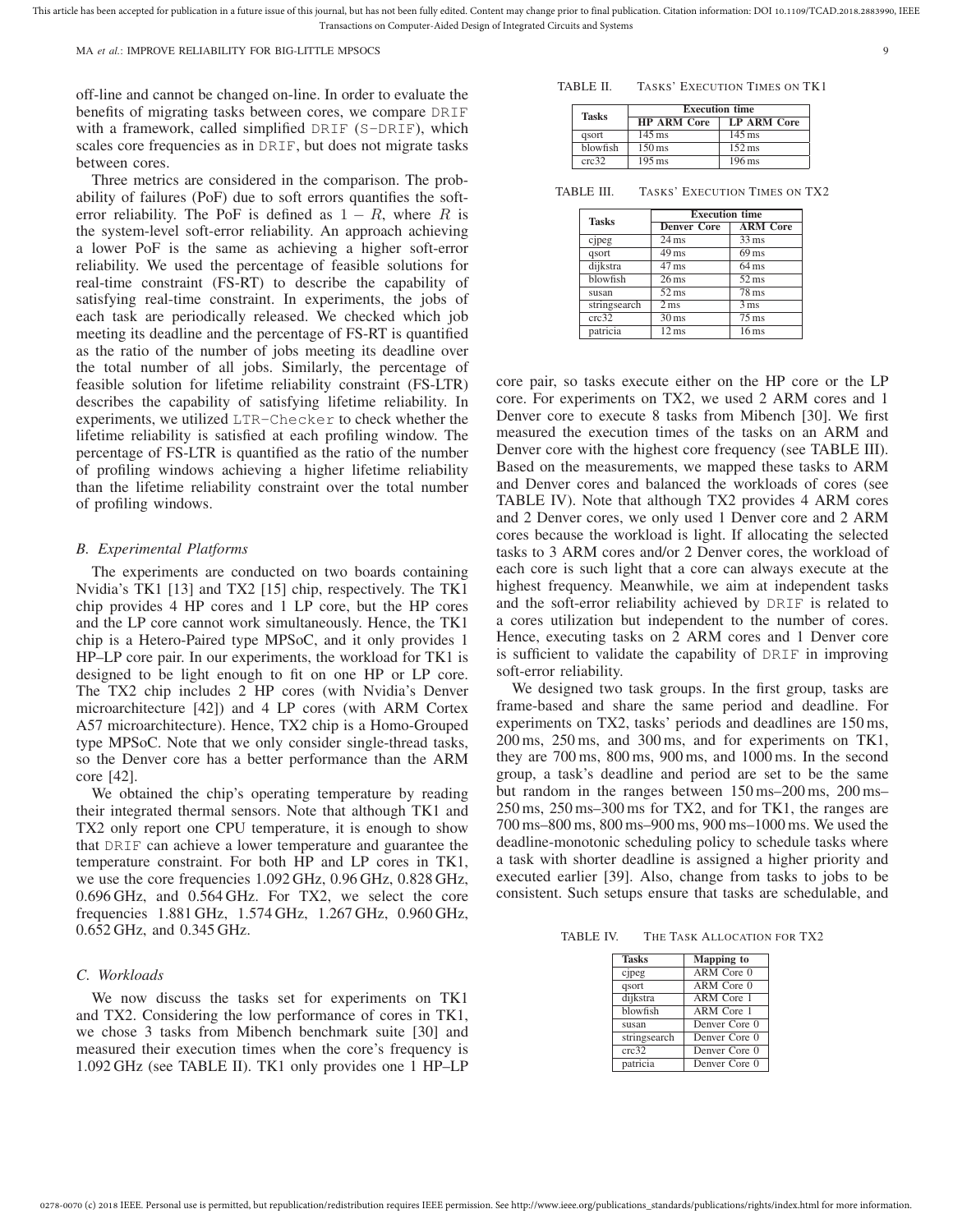off-line and cannot be changed on-line. In order to evaluate the benefits of migrating tasks between cores, we compare DRIF with a framework, called simplified DRIF (S-DRIF), which scales core frequencies as in DRIF, but does not migrate tasks between cores.

Three metrics are considered in the comparison. The probability of failures (PoF) due to soft errors quantifies the softerror reliability. The PoF is defined as  $1 - R$ , where R is the system-level soft-error reliability. An approach achieving a lower PoF is the same as achieving a higher soft-error reliability. We used the percentage of feasible solutions for real-time constraint (FS-RT) to describe the capability of satisfying real-time constraint. In experiments, the jobs of each task are periodically released. We checked which job meeting its deadline and the percentage of FS-RT is quantified as the ratio of the number of jobs meeting its deadline over the total number of all jobs. Similarly, the percentage of feasible solution for lifetime reliability constraint (FS-LTR) describes the capability of satisfying lifetime reliability. In experiments, we utilized LTR-Checker to check whether the lifetime reliability is satisfied at each profiling window. The percentage of FS-LTR is quantified as the ratio of the number of profiling windows achieving a higher lifetime reliability than the lifetime reliability constraint over the total number of profiling windows.

#### *B. Experimental Platforms*

The experiments are conducted on two boards containing Nvidia's TK1 [13] and TX2 [15] chip, respectively. The TK1 chip provides 4 HP cores and 1 LP core, but the HP cores and the LP core cannot work simultaneously. Hence, the TK1 chip is a Hetero-Paired type MPSoC, and it only provides 1 HP–LP core pair. In our experiments, the workload for TK1 is designed to be light enough to fit on one HP or LP core. The TX2 chip includes 2 HP cores (with Nvidia's Denver microarchitecture [42]) and 4 LP cores (with ARM Cortex A57 microarchitecture). Hence, TX2 chip is a Homo-Grouped type MPSoC. Note that we only consider single-thread tasks, so the Denver core has a better performance than the ARM core [42].

We obtained the chip's operating temperature by reading their integrated thermal sensors. Note that although TK1 and TX2 only report one CPU temperature, it is enough to show that DRIF can achieve a lower temperature and guarantee the temperature constraint. For both HP and LP cores in TK1, we use the core frequencies 1.092 GHz, 0.96 GHz, 0.828 GHz, 0.696 GHz, and 0.564 GHz. For TX2, we select the core frequencies 1.881 GHz, 1.574 GHz, 1.267 GHz, 0.960 GHz, 0.652 GHz, and 0.345 GHz.

# *C. Workloads*

We now discuss the tasks set for experiments on TK1 and TX2. Considering the low performance of cores in TK1, we chose 3 tasks from Mibench benchmark suite [30] and measured their execution times when the core's frequency is 1.092 GHz (see TABLE II). TK1 only provides one 1 HP–LP

TABLE II. TASKS' EXECUTION TIMES ON TK1

| <b>Tasks</b> | <b>Execution time</b> |                     |  |
|--------------|-----------------------|---------------------|--|
|              | <b>HP ARM Core</b>    | <b>LP ARM Core</b>  |  |
| asort        | $145 \,\mathrm{ms}$   | $145 \text{ ms}$    |  |
| blowfish     | $150 \,\mathrm{ms}$   | $152 \text{ ms}$    |  |
| crc32        | $195 \,\mathrm{ms}$   | $196 \,\mathrm{ms}$ |  |

TABLE III. TASKS' EXECUTION TIMES ON TX2

| <b>Tasks</b> | <b>Execution</b> time |                  |  |
|--------------|-----------------------|------------------|--|
|              | <b>Denver Core</b>    | <b>ARM Core</b>  |  |
| cjpeg        | $24 \text{ ms}$       | $33 \text{ ms}$  |  |
| qsort        | $49$ ms               | $69$ ms          |  |
| dijkstra     | $47 \,\mathrm{ms}$    | $64 \text{ ms}$  |  |
| blowfish     | $26$ ms               | $52$ ms          |  |
| susan        | $52$ ms               | 78 ms            |  |
| stringsearch | 2 <sub>ms</sub>       | 3 <sub>ms</sub>  |  |
| crc32        | $30 \,\mathrm{ms}$    | $75$ ms          |  |
| patricia     | $12 \,\mathrm{ms}$    | 16 <sub>ms</sub> |  |

core pair, so tasks execute either on the HP core or the LP core. For experiments on TX2, we used 2 ARM cores and 1 Denver core to execute 8 tasks from Mibench [30]. We first measured the execution times of the tasks on an ARM and Denver core with the highest core frequency (see TABLE III). Based on the measurements, we mapped these tasks to ARM and Denver cores and balanced the workloads of cores (see TABLE IV). Note that although TX2 provides 4 ARM cores and 2 Denver cores, we only used 1 Denver core and 2 ARM cores because the workload is light. If allocating the selected tasks to 3 ARM cores and/or 2 Denver cores, the workload of each core is such light that a core can always execute at the highest frequency. Meanwhile, we aim at independent tasks and the soft-error reliability achieved by DRIF is related to a cores utilization but independent to the number of cores. Hence, executing tasks on 2 ARM cores and 1 Denver core is sufficient to validate the capability of DRIF in improving soft-error reliability.

We designed two task groups. In the first group, tasks are frame-based and share the same period and deadline. For experiments on TX2, tasks' periods and deadlines are 150 ms, 200 ms, 250 ms, and 300 ms, and for experiments on TK1, they are 700 ms, 800 ms, 900 ms, and 1000 ms. In the second group, a task's deadline and period are set to be the same but random in the ranges between 150 ms–200 ms, 200 ms– 250 ms, 250 ms–300 ms for TX2, and for TK1, the ranges are 700 ms–800 ms, 800 ms–900 ms, 900 ms–1000 ms. We used the deadline-monotonic scheduling policy to schedule tasks where a task with shorter deadline is assigned a higher priority and executed earlier [39]. Also, change from tasks to jobs to be consistent. Such setups ensure that tasks are schedulable, and

TABLE IV. THE TASK ALLOCATION FOR TX2

| <b>Tasks</b> | Mapping to    |
|--------------|---------------|
| cipeg        | ARM Core 0    |
| qsort        | ARM Core 0    |
| dijkstra     | ARM Core 1    |
| blowfish     | ARM Core 1    |
| susan        | Denver Core 0 |
| stringsearch | Denver Core 0 |
| crc32        | Denver Core 0 |
| patricia     | Denver Core 0 |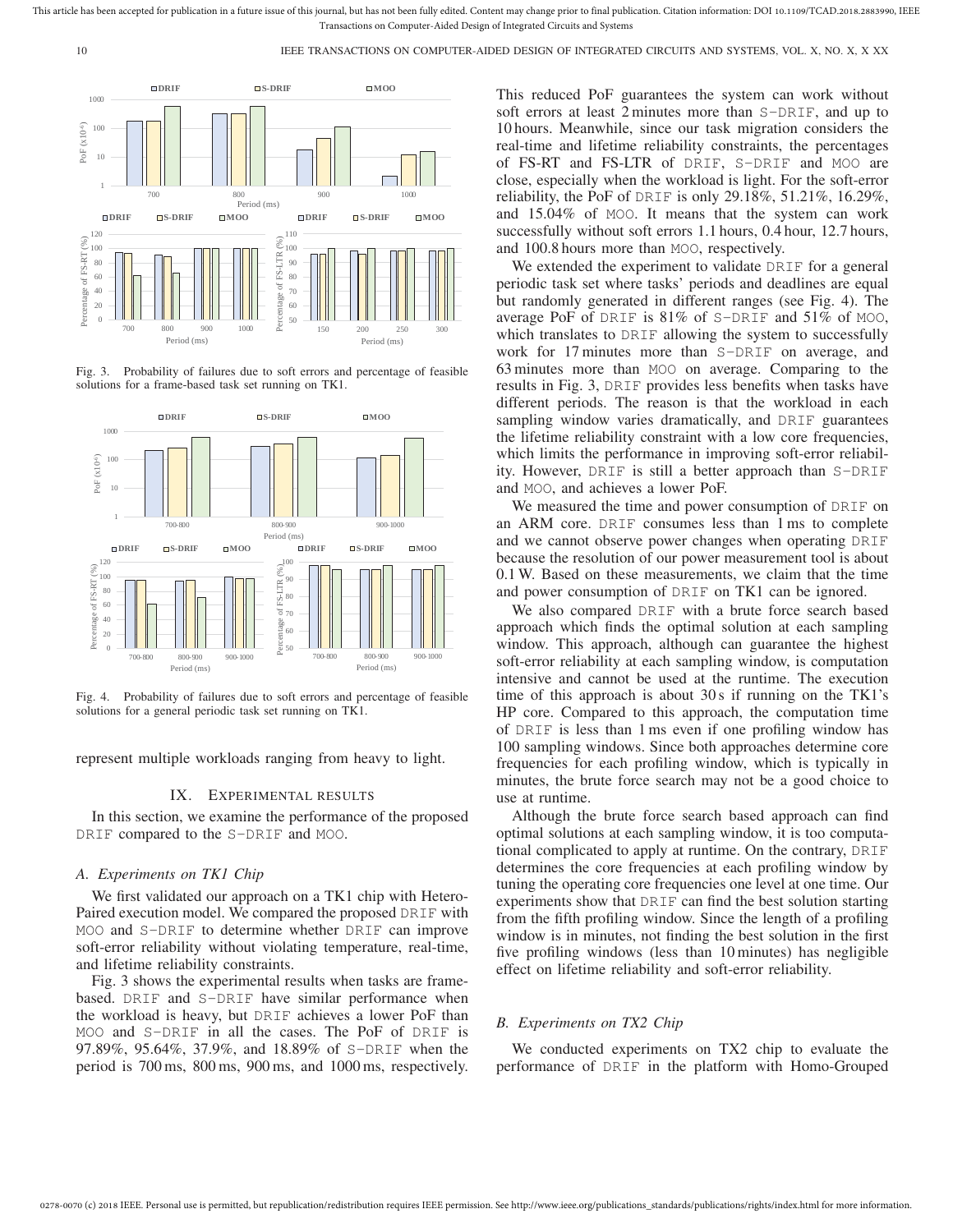



Fig. 3. Probability of failures due to soft errors and percentage of feasible solutions for a frame-based task set running on TK1.



Fig. 4. Probability of failures due to soft errors and percentage of feasible solutions for a general periodic task set running on TK1.

represent multiple workloads ranging from heavy to light.

#### IX. EXPERIMENTAL RESULTS

In this section, we examine the performance of the proposed DRIF compared to the S-DRIF and MOO.

## *A. Experiments on TK1 Chip*

We first validated our approach on a TK1 chip with Hetero-Paired execution model. We compared the proposed DRIF with MOO and S-DRIF to determine whether DRIF can improve soft-error reliability without violating temperature, real-time, and lifetime reliability constraints.

Fig. 3 shows the experimental results when tasks are framebased. DRIF and S-DRIF have similar performance when the workload is heavy, but DRIF achieves a lower PoF than MOO and S-DRIF in all the cases. The PoF of DRIF is 97.89%, 95.64%, 37.9%, and 18.89% of S-DRIF when the period is 700 ms, 800 ms, 900 ms, and 1000 ms, respectively.

This reduced PoF guarantees the system can work without soft errors at least 2 minutes more than S-DRIF, and up to 10 hours. Meanwhile, since our task migration considers the real-time and lifetime reliability constraints, the percentages of FS-RT and FS-LTR of DRIF, S-DRIF and MOO are close, especially when the workload is light. For the soft-error reliability, the PoF of DRIF is only 29.18%, 51.21%, 16.29%, and 15.04% of MOO. It means that the system can work successfully without soft errors 1.1 hours, 0.4 hour, 12.7 hours, and 100.8 hours more than MOO, respectively.

We extended the experiment to validate DRIF for a general periodic task set where tasks' periods and deadlines are equal but randomly generated in different ranges (see Fig. 4). The average PoF of DRIF is 81% of S-DRIF and 51% of MOO, which translates to DRIF allowing the system to successfully work for 17 minutes more than S-DRIF on average, and 63 minutes more than MOO on average. Comparing to the results in Fig. 3, DRIF provides less benefits when tasks have different periods. The reason is that the workload in each sampling window varies dramatically, and DRIF guarantees the lifetime reliability constraint with a low core frequencies, which limits the performance in improving soft-error reliability. However, DRIF is still a better approach than S-DRIF and MOO, and achieves a lower PoF.

We measured the time and power consumption of DRIF on an ARM core. DRIF consumes less than 1 ms to complete and we cannot observe power changes when operating DRIF because the resolution of our power measurement tool is about 0.1 W. Based on these measurements, we claim that the time and power consumption of DRIF on TK1 can be ignored.

We also compared DRIF with a brute force search based approach which finds the optimal solution at each sampling window. This approach, although can guarantee the highest soft-error reliability at each sampling window, is computation intensive and cannot be used at the runtime. The execution time of this approach is about 30 s if running on the TK1's HP core. Compared to this approach, the computation time of DRIF is less than 1 ms even if one profiling window has 100 sampling windows. Since both approaches determine core frequencies for each profiling window, which is typically in minutes, the brute force search may not be a good choice to use at runtime.

Although the brute force search based approach can find optimal solutions at each sampling window, it is too computational complicated to apply at runtime. On the contrary, DRIF determines the core frequencies at each profiling window by tuning the operating core frequencies one level at one time. Our experiments show that DRIF can find the best solution starting from the fifth profiling window. Since the length of a profiling window is in minutes, not finding the best solution in the first five profiling windows (less than 10 minutes) has negligible effect on lifetime reliability and soft-error reliability.

## *B. Experiments on TX2 Chip*

We conducted experiments on TX2 chip to evaluate the performance of DRIF in the platform with Homo-Grouped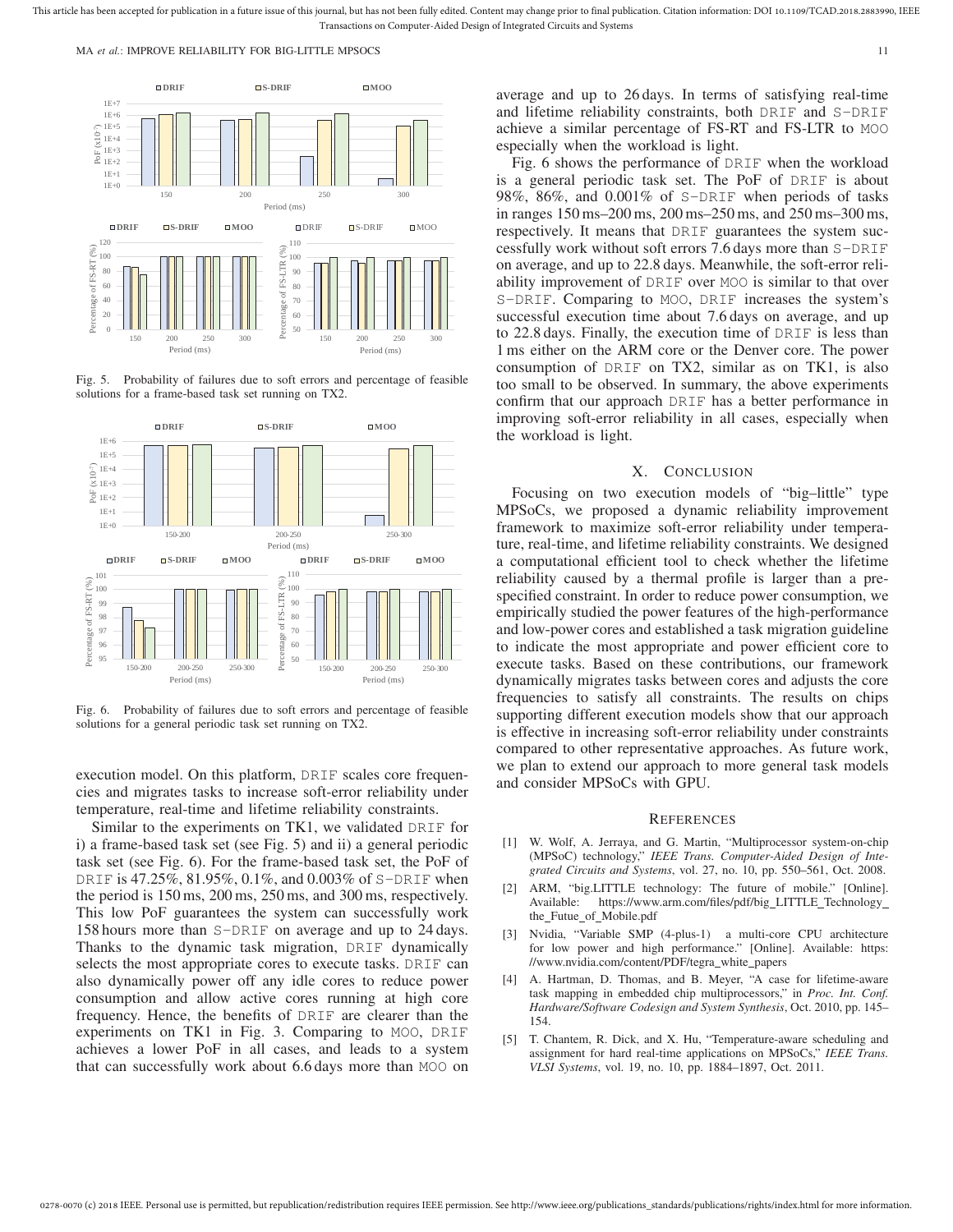MA *et al.*: IMPROVE RELIABILITY FOR BIG-LITTLE MPSOCS 11



Fig. 5. Probability of failures due to soft errors and percentage of feasible solutions for a frame-based task set running on TX2.



Fig. 6. Probability of failures due to soft errors and percentage of feasible solutions for a general periodic task set running on TX2.

execution model. On this platform, DRIF scales core frequencies and migrates tasks to increase soft-error reliability under temperature, real-time and lifetime reliability constraints.

Similar to the experiments on TK1, we validated DRIF for i) a frame-based task set (see Fig. 5) and ii) a general periodic task set (see Fig. 6). For the frame-based task set, the PoF of DRIF is 47.25%, 81.95%, 0.1%, and 0.003% of S-DRIF when the period is 150 ms, 200 ms, 250 ms, and 300 ms, respectively. This low PoF guarantees the system can successfully work 158 hours more than S-DRIF on average and up to 24 days. Thanks to the dynamic task migration, DRIF dynamically selects the most appropriate cores to execute tasks. DRIF can also dynamically power off any idle cores to reduce power consumption and allow active cores running at high core frequency. Hence, the benefits of DRIF are clearer than the experiments on TK1 in Fig. 3. Comparing to MOO, DRIF achieves a lower PoF in all cases, and leads to a system that can successfully work about 6.6 days more than MOO on average and up to 26 days. In terms of satisfying real-time and lifetime reliability constraints, both DRIF and S-DRIF achieve a similar percentage of FS-RT and FS-LTR to MOO especially when the workload is light.

Fig. 6 shows the performance of DRIF when the workload is a general periodic task set. The PoF of DRIF is about 98%, 86%, and 0.001% of S-DRIF when periods of tasks in ranges 150 ms–200 ms, 200 ms–250 ms, and 250 ms–300 ms, respectively. It means that DRIF guarantees the system successfully work without soft errors 7.6 days more than S-DRIF on average, and up to 22.8 days. Meanwhile, the soft-error reliability improvement of DRIF over MOO is similar to that over S-DRIF. Comparing to MOO, DRIF increases the system's successful execution time about 7.6 days on average, and up to 22.8 days. Finally, the execution time of DRIF is less than 1 ms either on the ARM core or the Denver core. The power consumption of DRIF on TX2, similar as on TK1, is also too small to be observed. In summary, the above experiments confirm that our approach DRIF has a better performance in improving soft-error reliability in all cases, especially when the workload is light.

#### X. CONCLUSION

Focusing on two execution models of "big–little" type MPSoCs, we proposed a dynamic reliability improvement framework to maximize soft-error reliability under temperature, real-time, and lifetime reliability constraints. We designed a computational efficient tool to check whether the lifetime reliability caused by a thermal profile is larger than a prespecified constraint. In order to reduce power consumption, we empirically studied the power features of the high-performance and low-power cores and established a task migration guideline to indicate the most appropriate and power efficient core to execute tasks. Based on these contributions, our framework dynamically migrates tasks between cores and adjusts the core frequencies to satisfy all constraints. The results on chips supporting different execution models show that our approach is effective in increasing soft-error reliability under constraints compared to other representative approaches. As future work, we plan to extend our approach to more general task models and consider MPSoCs with GPU.

#### **REFERENCES**

- [1] W. Wolf, A. Jerraya, and G. Martin, "Multiprocessor system-on-chip (MPSoC) technology," *IEEE Trans. Computer-Aided Design of Integrated Circuits and Systems*, vol. 27, no. 10, pp. 550–561, Oct. 2008.
- [2] ARM, "big.LITTLE technology: The future of mobile." [Online]. Available: https://www.arm.com/files/pdf/big\_LITTLE\_Technology\_ the Futue of Mobile.pdf
- [3] Nvidia, "Variable SMP (4-plus-1) a multi-core CPU architecture for low power and high performance." [Online]. Available: https: //www.nvidia.com/content/PDF/tegra\_white\_papers
- [4] A. Hartman, D. Thomas, and B. Meyer, "A case for lifetime-aware task mapping in embedded chip multiprocessors," in *Proc. Int. Conf. Hardware/Software Codesign and System Synthesis*, Oct. 2010, pp. 145– 154.
- [5] T. Chantem, R. Dick, and X. Hu, "Temperature-aware scheduling and assignment for hard real-time applications on MPSoCs," *IEEE Trans. VLSI Systems*, vol. 19, no. 10, pp. 1884–1897, Oct. 2011.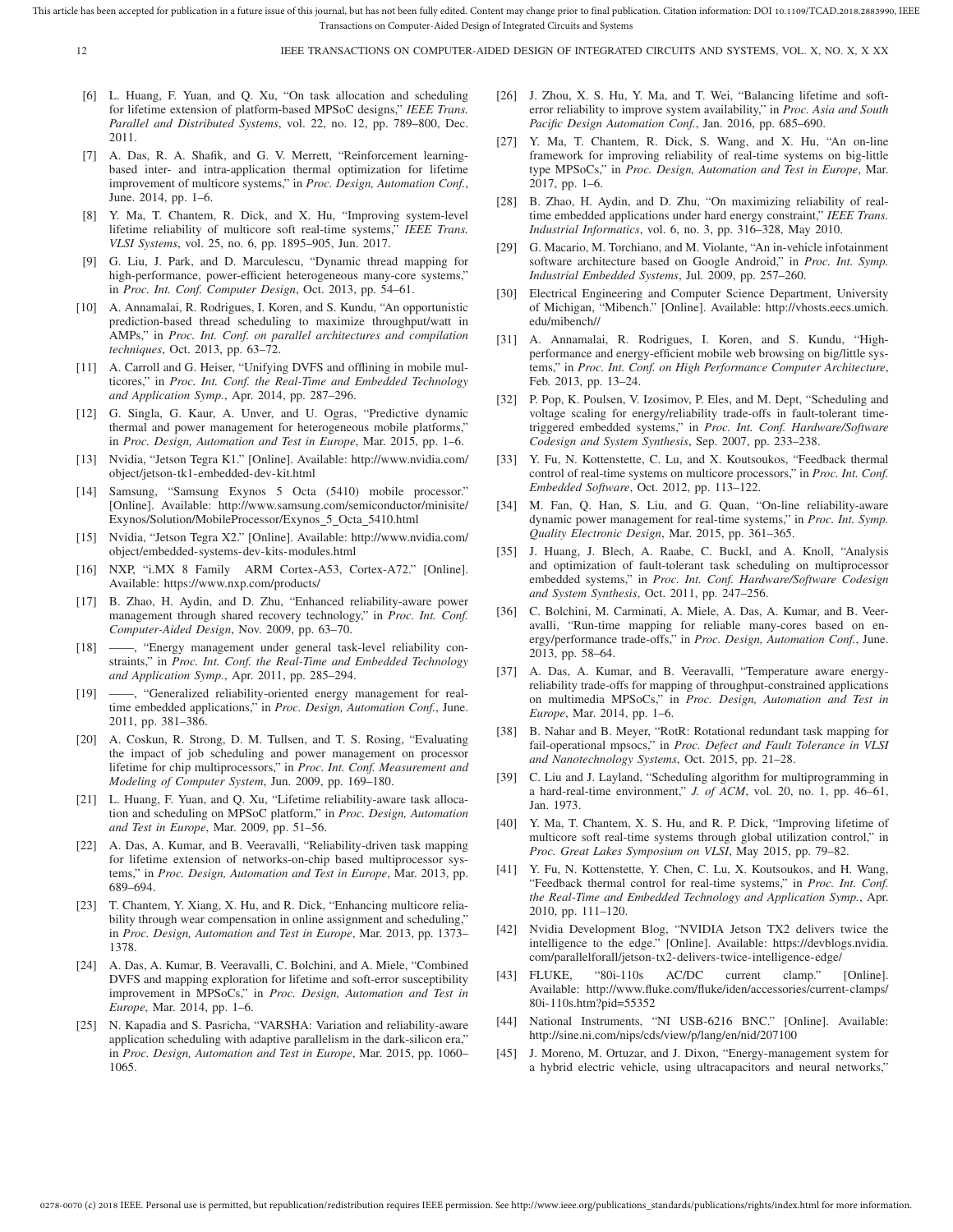12 IEEE TRANSACTIONS ON COMPUTER-AIDED DESIGN OF INTEGRATED CIRCUITS AND SYSTEMS, VOL. X, NO. X, X XX

- [6] L. Huang, F. Yuan, and Q. Xu, "On task allocation and scheduling for lifetime extension of platform-based MPSoC designs," *IEEE Trans. Parallel and Distributed Systems*, vol. 22, no. 12, pp. 789–800, Dec. 2011.
- [7] A. Das, R. A. Shafik, and G. V. Merrett, "Reinforcement learningbased inter- and intra-application thermal optimization for lifetime improvement of multicore systems," in *Proc. Design, Automation Conf.*, June. 2014, pp. 1–6.
- [8] Y. Ma, T. Chantem, R. Dick, and X. Hu, "Improving system-level lifetime reliability of multicore soft real-time systems," *IEEE Trans. VLSI Systems*, vol. 25, no. 6, pp. 1895–905, Jun. 2017.
- [9] G. Liu, J. Park, and D. Marculescu, "Dynamic thread mapping for high-performance, power-efficient heterogeneous many-core systems," in *Proc. Int. Conf. Computer Design*, Oct. 2013, pp. 54–61.
- [10] A. Annamalai, R. Rodrigues, I. Koren, and S. Kundu, "An opportunistic prediction-based thread scheduling to maximize throughput/watt in AMPs," in *Proc. Int. Conf. on parallel architectures and compilation techniques*, Oct. 2013, pp. 63–72.
- [11] A. Carroll and G. Heiser, "Unifying DVFS and offlining in mobile multicores," in *Proc. Int. Conf. the Real-Time and Embedded Technology and Application Symp.*, Apr. 2014, pp. 287–296.
- [12] G. Singla, G. Kaur, A. Unver, and U. Ogras, "Predictive dynamic thermal and power management for heterogeneous mobile platforms," in *Proc. Design, Automation and Test in Europe*, Mar. 2015, pp. 1–6.
- [13] Nvidia, "Jetson Tegra K1." [Online]. Available: http://www.nvidia.com/ object/jetson-tk1-embedded-dev-kit.html
- [14] Samsung, "Samsung Exynos 5 Octa (5410) mobile processor." [Online]. Available: http://www.samsung.com/semiconductor/minisite/ Exynos/Solution/MobileProcessor/Exynos\_5\_Octa\_5410.html
- [15] Nvidia, "Jetson Tegra X2." [Online]. Available: http://www.nvidia.com/ object/embedded-systems-dev-kits-modules.html
- [16] NXP, "i.MX 8 Family ARM Cortex-A53, Cortex-A72." [Online]. Available: https://www.nxp.com/products/
- [17] B. Zhao, H. Aydin, and D. Zhu, "Enhanced reliability-aware power management through shared recovery technology," in *Proc. Int. Conf. Computer-Aided Design*, Nov. 2009, pp. 63–70.
- [18] -, "Energy management under general task-level reliability constraints," in *Proc. Int. Conf. the Real-Time and Embedded Technology and Application Symp.*, Apr. 2011, pp. 285–294.
- [19] -, "Generalized reliability-oriented energy management for realtime embedded applications," in *Proc. Design, Automation Conf.*, June. 2011, pp. 381–386.
- [20] A. Coskun, R. Strong, D. M. Tullsen, and T. S. Rosing, "Evaluating the impact of job scheduling and power management on processor lifetime for chip multiprocessors," in *Proc. Int. Conf. Measurement and Modeling of Computer System*, Jun. 2009, pp. 169–180.
- [21] L. Huang, F. Yuan, and Q. Xu, "Lifetime reliability-aware task allocation and scheduling on MPSoC platform," in *Proc. Design, Automation and Test in Europe*, Mar. 2009, pp. 51–56.
- A. Das, A. Kumar, and B. Veeravalli, "Reliability-driven task mapping for lifetime extension of networks-on-chip based multiprocessor systems," in *Proc. Design, Automation and Test in Europe*, Mar. 2013, pp. 689–694.
- [23] T. Chantem, Y. Xiang, X. Hu, and R. Dick, "Enhancing multicore reliability through wear compensation in online assignment and scheduling," in *Proc. Design, Automation and Test in Europe*, Mar. 2013, pp. 1373– 1378.
- [24] A. Das, A. Kumar, B. Veeravalli, C. Bolchini, and A. Miele, "Combined DVFS and mapping exploration for lifetime and soft-error susceptibility improvement in MPSoCs," in *Proc. Design, Automation and Test in Europe*, Mar. 2014, pp. 1–6.
- [25] N. Kapadia and S. Pasricha, "VARSHA: Variation and reliability-aware application scheduling with adaptive parallelism in the dark-silicon era," in *Proc. Design, Automation and Test in Europe*, Mar. 2015, pp. 1060– 1065.
- [26] J. Zhou, X. S. Hu, Y. Ma, and T. Wei, "Balancing lifetime and softerror reliability to improve system availability," in *Proc. Asia and South Pacific Design Automation Conf.*, Jan. 2016, pp. 685–690.
- [27] Y. Ma, T. Chantem, R. Dick, S. Wang, and X. Hu, "An on-line framework for improving reliability of real-time systems on big-little type MPSoCs," in *Proc. Design, Automation and Test in Europe*, Mar. 2017, pp. 1–6.
- [28] B. Zhao, H. Aydin, and D. Zhu, "On maximizing reliability of realtime embedded applications under hard energy constraint," *IEEE Trans. Industrial Informatics*, vol. 6, no. 3, pp. 316–328, May 2010.
- [29] G. Macario, M. Torchiano, and M. Violante, "An in-vehicle infotainment software architecture based on Google Android," in *Proc. Int. Symp. Industrial Embedded Systems*, Jul. 2009, pp. 257–260.
- [30] Electrical Engineering and Computer Science Department, University of Michigan, "Mibench." [Online]. Available: http://vhosts.eecs.umich. edu/mibench//
- [31] A. Annamalai, R. Rodrigues, I. Koren, and S. Kundu, "Highperformance and energy-efficient mobile web browsing on big/little systems," in *Proc. Int. Conf. on High Performance Computer Architecture*, Feb. 2013, pp. 13–24.
- [32] P. Pop, K. Poulsen, V. Izosimov, P. Eles, and M. Dept, "Scheduling and voltage scaling for energy/reliability trade-offs in fault-tolerant timetriggered embedded systems," in *Proc. Int. Conf. Hardware/Software Codesign and System Synthesis*, Sep. 2007, pp. 233–238.
- [33] Y. Fu, N. Kottenstette, C. Lu, and X. Koutsoukos, "Feedback thermal control of real-time systems on multicore processors," in *Proc. Int. Conf. Embedded Software*, Oct. 2012, pp. 113–122.
- [34] M. Fan, Q. Han, S. Liu, and G. Quan, "On-line reliability-aware dynamic power management for real-time systems," in *Proc. Int. Symp. Quality Electronic Design*, Mar. 2015, pp. 361–365.
- [35] J. Huang, J. Blech, A. Raabe, C. Buckl, and A. Knoll, "Analysis and optimization of fault-tolerant task scheduling on multiprocessor embedded systems," in *Proc. Int. Conf. Hardware/Software Codesign and System Synthesis*, Oct. 2011, pp. 247–256.
- [36] C. Bolchini, M. Carminati, A. Miele, A. Das, A. Kumar, and B. Veeravalli, "Run-time mapping for reliable many-cores based on energy/performance trade-offs," in *Proc. Design, Automation Conf.*, June. 2013, pp. 58–64.
- [37] A. Das, A. Kumar, and B. Veeravalli, "Temperature aware energyreliability trade-offs for mapping of throughput-constrained applications on multimedia MPSoCs," in *Proc. Design, Automation and Test in Europe*, Mar. 2014, pp. 1–6.
- [38] B. Nahar and B. Meyer, "RotR: Rotational redundant task mapping for fail-operational mpsocs," in *Proc. Defect and Fault Tolerance in VLSI and Nanotechnology Systems*, Oct. 2015, pp. 21–28.
- [39] C. Liu and J. Layland, "Scheduling algorithm for multiprogramming in a hard-real-time environment," *J. of ACM*, vol. 20, no. 1, pp. 46–61, Jan. 1973.
- [40] Y. Ma, T. Chantem, X. S. Hu, and R. P. Dick, "Improving lifetime of multicore soft real-time systems through global utilization control," in *Proc. Great Lakes Symposium on VLSI*, May 2015, pp. 79–82.
- [41] Y. Fu, N. Kottenstette, Y. Chen, C. Lu, X. Koutsoukos, and H. Wang, "Feedback thermal control for real-time systems," in *Proc. Int. Conf. the Real-Time and Embedded Technology and Application Symp.*, Apr. 2010, pp. 111–120.
- [42] Nvidia Development Blog, "NVIDIA Jetson TX2 delivers twice the intelligence to the edge." [Online]. Available: https://devblogs.nvidia. com/parallelforall/jetson-tx2-delivers-twice-intelligence-edge/
- [43] FLUKE, "80i-110s AC/DC current clamp." [Online]. Available: http://www.fluke.com/fluke/iden/accessories/current-clamps/ 80i-110s.htm?pid=55352
- National Instruments, "NI USB-6216 BNC." [Online]. Available: http://sine.ni.com/nips/cds/view/p/lang/en/nid/207100
- [45] J. Moreno, M. Ortuzar, and J. Dixon, "Energy-management system for a hybrid electric vehicle, using ultracapacitors and neural networks,"